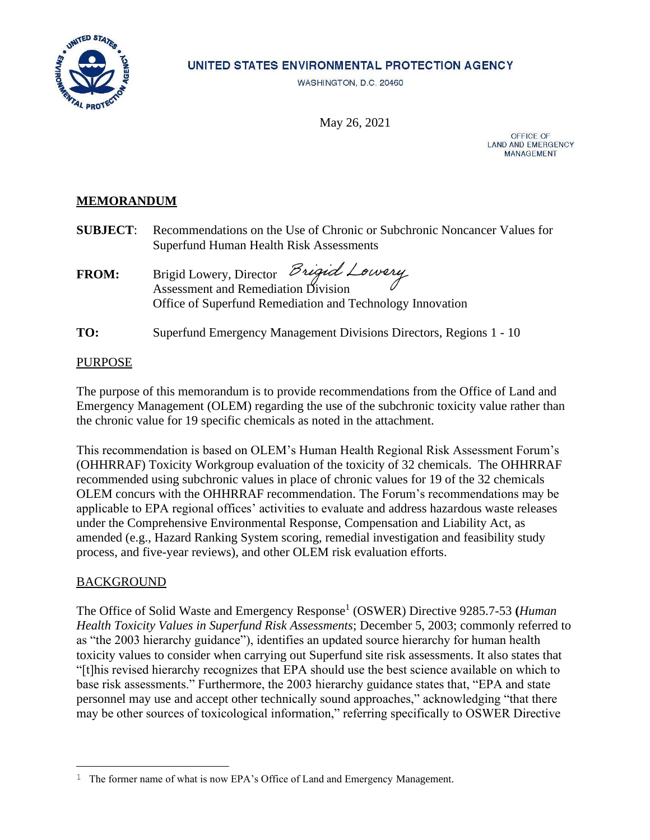

# UNITED STATES ENVIRONMENTAL PROTECTION AGENCY

WASHINGTON, D.C. 20460

May 26, 2021

OFFICE OF **LAND AND EMERGENCY MANAGEMENT** 

# **MEMORANDUM**

- **SUBJECT**: Recommendations on the Use of Chronic or Subchronic Noncancer Values for Superfund Human Health Risk Assessments
- **FROM:** Brigid Lowery, Director Assessment and Remediation Division Office of Superfund Remediation and Technology Innovation

#### **TO:** Superfund Emergency Management Divisions Directors, Regions 1 - 10

#### **PURPOSE**

The purpose of this memorandum is to provide recommendations from the Office of Land and Emergency Management (OLEM) regarding the use of the subchronic toxicity value rather than the chronic value for 19 specific chemicals as noted in the attachment.

This recommendation is based on OLEM's Human Health Regional Risk Assessment Forum's (OHHRRAF) Toxicity Workgroup evaluation of the toxicity of 32 chemicals. The OHHRRAF recommended using subchronic values in place of chronic values for 19 of the 32 chemicals OLEM concurs with the OHHRRAF recommendation. The Forum's recommendations may be applicable to EPA regional offices' activities to evaluate and address hazardous waste releases under the Comprehensive Environmental Response, Compensation and Liability Act, as amended (e.g., Hazard Ranking System scoring, remedial investigation and feasibility study process, and five-year reviews), and other OLEM risk evaluation efforts.

# **BACKGROUND**

The Office of Solid Waste and Emergency Response<sup>1</sup> (OSWER) Directive 9285.7-53 (*Human Health Toxicity Values in Superfund Risk Assessments*; December 5, 2003; commonly referred to as "the 2003 hierarchy guidance"), identifies an updated source hierarchy for human health toxicity values to consider when carrying out Superfund site risk assessments. It also states that "[t]his revised hierarchy recognizes that EPA should use the best science available on which to base risk assessments." Furthermore, the 2003 hierarchy guidance states that, "EPA and state personnel may use and accept other technically sound approaches," acknowledging "that there may be other sources of toxicological information," referring specifically to OSWER Directive

<sup>&</sup>lt;sup>1</sup> The former name of what is now EPA's Office of Land and Emergency Management.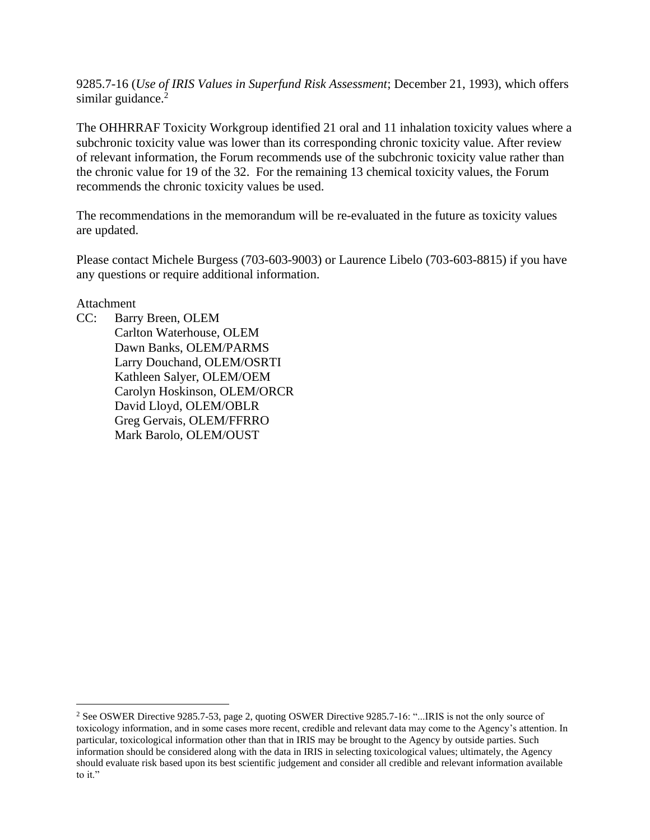9285.7-16 (*Use of IRIS Values in Superfund Risk Assessment*; December 21, 1993), which offers similar guidance. $2$ 

The OHHRRAF Toxicity Workgroup identified 21 oral and 11 inhalation toxicity values where a subchronic toxicity value was lower than its corresponding chronic toxicity value. After review of relevant information, the Forum recommends use of the subchronic toxicity value rather than the chronic value for 19 of the 32. For the remaining 13 chemical toxicity values, the Forum recommends the chronic toxicity values be used.

The recommendations in the memorandum will be re-evaluated in the future as toxicity values are updated.

Please contact Michele Burgess (703-603-9003) or Laurence Libelo (703-603-8815) if you have any questions or require additional information.

Attachment

CC: Barry Breen, OLEM Carlton Waterhouse, OLEM Dawn Banks, OLEM/PARMS Larry Douchand, OLEM/OSRTI Kathleen Salyer, OLEM/OEM Carolyn Hoskinson, OLEM/ORCR David Lloyd, OLEM/OBLR Greg Gervais, OLEM/FFRRO Mark Barolo, OLEM/OUST

<sup>2</sup> See OSWER Directive 9285.7-53, page 2, quoting OSWER Directive 9285.7-16: "...IRIS is not the only source of toxicology information, and in some cases more recent, credible and relevant data may come to the Agency's attention. In particular, toxicological information other than that in IRIS may be brought to the Agency by outside parties. Such information should be considered along with the data in IRIS in selecting toxicological values; ultimately, the Agency should evaluate risk based upon its best scientific judgement and consider all credible and relevant information available to it."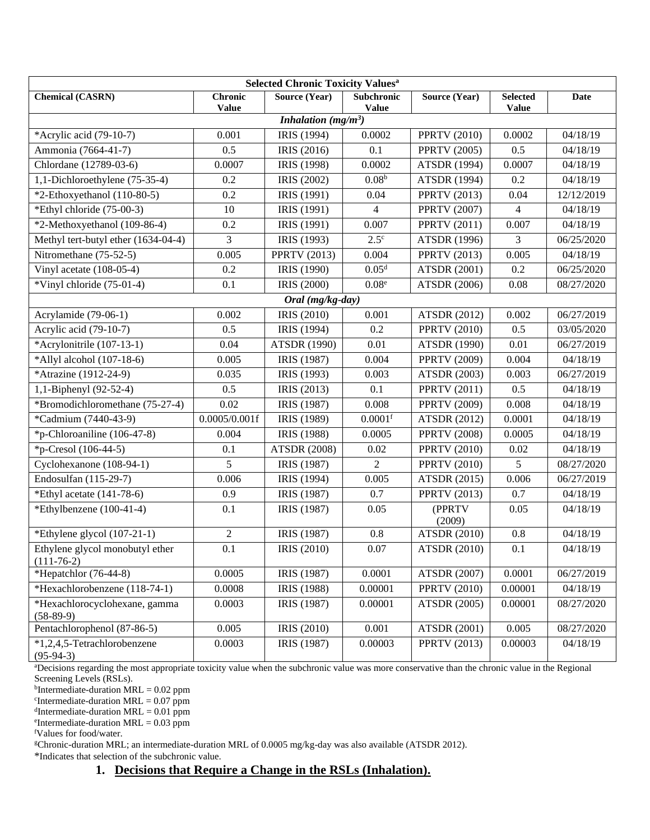| <b>Selected Chronic Toxicity Values<sup>a</sup></b>                   |                  |                     |                       |                     |                 |             |
|-----------------------------------------------------------------------|------------------|---------------------|-----------------------|---------------------|-----------------|-------------|
| <b>Chemical (CASRN)</b>                                               | <b>Chronic</b>   | Source (Year)       | Subchronic            | Source (Year)       | <b>Selected</b> | <b>Date</b> |
| <b>Value</b><br><b>Value</b><br><b>Value</b><br>Inhalation $(mg/m^3)$ |                  |                     |                       |                     |                 |             |
| *Acrylic acid (79-10-7)                                               | 0.001            | IRIS (1994)         | 0.0002                | <b>PPRTV (2010)</b> | 0.0002          | 04/18/19    |
| Ammonia (7664-41-7)                                                   | 0.5              | IRIS (2016)         | 0.1                   | <b>PPRTV (2005)</b> | 0.5             | 04/18/19    |
| Chlordane (12789-03-6)                                                | 0.0007           | IRIS (1998)         | 0.0002                | ATSDR (1994)        | 0.0007          | 04/18/19    |
| 1,1-Dichloroethylene (75-35-4)                                        | 0.2              | IRIS (2002)         | 0.08 <sup>b</sup>     | ATSDR (1994)        | 0.2             | 04/18/19    |
| *2-Ethoxyethanol (110-80-5)                                           | 0.2              | IRIS (1991)         | 0.04                  | <b>PPRTV (2013)</b> | 0.04            | 12/12/2019  |
| *Ethyl chloride (75-00-3)                                             | 10               | IRIS (1991)         | $\overline{4}$        | <b>PPRTV (2007)</b> | $\overline{4}$  | 04/18/19    |
| *2-Methoxyethanol (109-86-4)                                          | 0.2              | IRIS (1991)         | 0.007                 | <b>PPRTV (2011)</b> | 0.007           | 04/18/19    |
|                                                                       |                  |                     | $2.5^{\circ}$         |                     |                 |             |
| Methyl tert-butyl ether (1634-04-4)                                   | 3                | IRIS (1993)         |                       | ATSDR (1996)        | 3               | 06/25/2020  |
| Nitromethane (75-52-5)                                                | 0.005            | <b>PPRTV (2013)</b> | 0.004                 | <b>PPRTV (2013)</b> | 0.005           | 04/18/19    |
| Vinyl acetate $(108-05-4)$                                            | 0.2              | IRIS (1990)         | 0.05 <sup>d</sup>     | ATSDR (2001)        | 0.2             | 06/25/2020  |
| *Vinyl chloride (75-01-4)                                             | 0.1              | IRIS (2000)         | 0.08 <sup>e</sup>     | ATSDR (2006)        | 0.08            | 08/27/2020  |
|                                                                       |                  | Oral (mg/kg-day)    |                       |                     |                 |             |
| Acrylamide (79-06-1)                                                  | 0.002            | IRIS (2010)         | 0.001                 | ATSDR (2012)        | 0.002           | 06/27/2019  |
| Acrylic acid (79-10-7)                                                | 0.5              | IRIS (1994)         | 0.2                   | <b>PPRTV (2010)</b> | 0.5             | 03/05/2020  |
| *Acrylonitrile (107-13-1)                                             | 0.04             | <b>ATSDR (1990)</b> | 0.01                  | <b>ATSDR (1990)</b> | 0.01            | 06/27/2019  |
| *Allyl alcohol (107-18-6)                                             | 0.005            | IRIS (1987)         | 0.004                 | <b>PPRTV (2009)</b> | 0.004           | 04/18/19    |
| *Atrazine (1912-24-9)                                                 | 0.035            | IRIS (1993)         | 0.003                 | ATSDR (2003)        | 0.003           | 06/27/2019  |
| 1,1-Biphenyl (92-52-4)                                                | 0.5              | IRIS (2013)         | 0.1                   | <b>PPRTV (2011)</b> | 0.5             | 04/18/19    |
| *Bromodichloromethane (75-27-4)                                       | 0.02             | IRIS (1987)         | 0.008                 | <b>PPRTV (2009)</b> | 0.008           | 04/18/19    |
| *Cadmium (7440-43-9)                                                  | 0.0005/0.001f    | IRIS (1989)         | $0.0001$ <sup>f</sup> | ATSDR (2012)        | 0.0001          | 04/18/19    |
| *p-Chloroaniline (106-47-8)                                           | 0.004            | <b>IRIS</b> (1988)  | 0.0005                | <b>PPRTV (2008)</b> | 0.0005          | 04/18/19    |
| *p-Cresol $(106-44-5)$                                                | 0.1              | <b>ATSDR (2008)</b> | 0.02                  | <b>PPRTV (2010)</b> | 0.02            | 04/18/19    |
| Cyclohexanone (108-94-1)                                              | 5                | IRIS (1987)         | 2                     | <b>PPRTV (2010)</b> | 5               | 08/27/2020  |
| Endosulfan (115-29-7)                                                 | 0.006            | IRIS (1994)         | 0.005                 | ATSDR (2015)        | 0.006           | 06/27/2019  |
| *Ethyl acetate $(141-78-6)$                                           | 0.9              | IRIS (1987)         | 0.7                   | <b>PPRTV (2013)</b> | 0.7             | 04/18/19    |
| *Ethylbenzene (100-41-4)                                              | 0.1              | IRIS (1987)         | 0.05                  | (PPRTV<br>(2009)    | 0.05            | 04/18/19    |
| *Ethylene glycol (107-21-1)                                           | $\boldsymbol{2}$ | IRIS (1987)         | $0.8\,$               | <b>ATSDR (2010)</b> | 0.8             | 04/18/19    |
| Ethylene glycol monobutyl ether<br>$(111-76-2)$                       | 0.1              | <b>IRIS</b> (2010)  | 0.07                  | <b>ATSDR (2010)</b> | 0.1             | 04/18/19    |
| *Hepatchlor (76-44-8)                                                 | 0.0005           | IRIS (1987)         | 0.0001                | ATSDR (2007)        | 0.0001          | 06/27/2019  |
| *Hexachlorobenzene (118-74-1)                                         | 0.0008           | <b>IRIS</b> (1988)  | 0.00001               | <b>PPRTV (2010)</b> | 0.00001         | 04/18/19    |
| *Hexachlorocyclohexane, gamma<br>$(58-89-9)$                          | 0.0003           | IRIS (1987)         | 0.00001               | ATSDR (2005)        | 0.00001         | 08/27/2020  |
| Pentachlorophenol (87-86-5)                                           | 0.005            | <b>IRIS</b> (2010)  | 0.001                 | ATSDR (2001)        | 0.005           | 08/27/2020  |
| *1,2,4,5-Tetrachlorobenzene<br>$(95-94-3)$                            | 0.0003           | IRIS (1987)         | 0.00003               | <b>PPRTV (2013)</b> | 0.00003         | 04/18/19    |

<sup>a</sup>Decisions regarding the most appropriate toxicity value when the subchronic value was more conservative than the chronic value in the Regional Screening Levels (RSLs).

 $b$ Intermediate-duration MRL = 0.02 ppm

 $c$ Intermediate-duration MRL = 0.07 ppm

 $d$ Intermediate-duration MRL = 0.01 ppm

 $e$ Intermediate-duration MRL = 0.03 ppm

<sup>f</sup>Values for food/water.

<sup>g</sup>Chronic-duration MRL; an intermediate-duration MRL of 0.0005 mg/kg-day was also available (ATSDR 2012).

\*Indicates that selection of the subchronic value.

**1. Decisions that Require a Change in the RSLs (Inhalation).**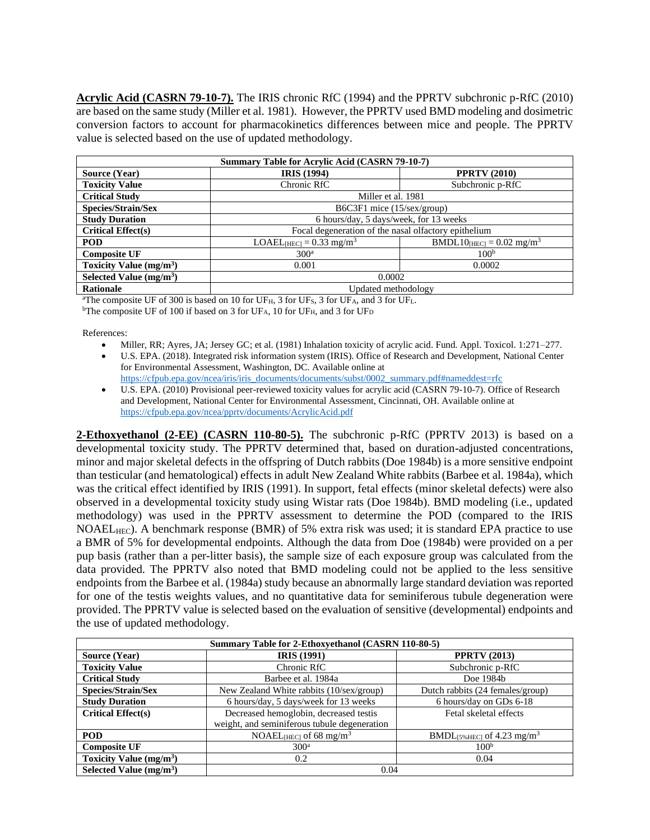**Acrylic Acid (CASRN 79-10-7).** The IRIS chronic RfC (1994) and the PPRTV subchronic p-RfC (2010) are based on the same study (Miller et al. 1981). However, the PPRTV used BMD modeling and dosimetric conversion factors to account for pharmacokinetics differences between mice and people. The PPRTV value is selected based on the use of updated methodology.

| Summary Table for Acrylic Acid (CASRN 79-10-7) |                                                                                    |                     |  |
|------------------------------------------------|------------------------------------------------------------------------------------|---------------------|--|
| <b>Source (Year)</b>                           | <b>IRIS</b> (1994)                                                                 | <b>PPRTV (2010)</b> |  |
| <b>Toxicity Value</b>                          | Chronic RfC                                                                        | Subchronic p-RfC    |  |
| <b>Critical Study</b>                          | Miller et al. 1981                                                                 |                     |  |
| Species/Strain/Sex                             | B6C3F1 mice (15/sex/group)                                                         |                     |  |
| <b>Study Duration</b>                          | 6 hours/day, 5 days/week, for 13 weeks                                             |                     |  |
| <b>Critical Effect(s)</b>                      | Focal degeneration of the nasal olfactory epithelium                               |                     |  |
| <b>POD</b>                                     | $LOAEL$ [HEC] = 0.33 mg/m <sup>3</sup><br>$BMDL10_{HECl} = 0.02$ mg/m <sup>3</sup> |                     |  |
| <b>Composite UF</b>                            | 300 <sup>a</sup>                                                                   | 100 <sup>b</sup>    |  |
| Toxicity Value $(mg/m3)$                       | 0.001                                                                              | 0.0002              |  |
| Selected Value $(mg/m3)$                       | 0.0002                                                                             |                     |  |
| Rationale                                      | Updated methodology                                                                |                     |  |

<sup>a</sup>The composite UF of 300 is based on 10 for UF<sub>H</sub>, 3 for UF<sub>S</sub>, 3 for UF<sub>A</sub>, and 3 for UF<sub>L</sub>.

<sup>b</sup>The composite UF of 100 if based on 3 for UF<sub>A</sub>, 10 for UF<sub>H</sub>, and 3 for UF<sub>D</sub>

References:

- Miller, RR; Ayres, JA; Jersey GC; et al. (1981) Inhalation toxicity of acrylic acid. Fund. Appl. Toxicol. 1:271–277.
- U.S. EPA. (2018). Integrated risk information system (IRIS). Office of Research and Development, National Center for Environmental Assessment, Washington, DC. Available online at [https://cfpub.epa.gov/ncea/iris/iris\\_documents/documents/subst/0002\\_summary.pdf#nameddest=rfc](https://cfpub.epa.gov/ncea/iris/iris_documents/documents/subst/0002_summary.pdf#nameddest=rfc)
- U.S. EPA. (2010) Provisional peer-reviewed toxicity values for acrylic acid (CASRN 79-10-7). Office of Research and Development, National Center for Environmental Assessment, Cincinnati, OH. Available online at <https://cfpub.epa.gov/ncea/pprtv/documents/AcrylicAcid.pdf>

**2-Ethoxyethanol (2-EE) (CASRN 110-80-5).** The subchronic p-RfC (PPRTV 2013) is based on a developmental toxicity study. The PPRTV determined that, based on duration-adjusted concentrations, minor and major skeletal defects in the offspring of Dutch rabbits (Doe 1984b) is a more sensitive endpoint than testicular (and hematological) effects in adult New Zealand White rabbits (Barbee et al. 1984a), which was the critical effect identified by IRIS (1991). In support, fetal effects (minor skeletal defects) were also observed in a developmental toxicity study using Wistar rats (Doe 1984b). BMD modeling (i.e., updated methodology) was used in the PPRTV assessment to determine the POD (compared to the IRIS NOAELHEC). A benchmark response (BMR) of 5% extra risk was used; it is standard EPA practice to use a BMR of 5% for developmental endpoints. Although the data from Doe (1984b) were provided on a per pup basis (rather than a per-litter basis), the sample size of each exposure group was calculated from the data provided. The PPRTV also noted that BMD modeling could not be applied to the less sensitive endpoints from the Barbee et al. (1984a) study because an abnormally large standard deviation was reported for one of the testis weights values, and no quantitative data for seminiferous tubule degeneration were provided. The PPRTV value is selected based on the evaluation of sensitive (developmental) endpoints and the use of updated methodology.

| Summary Table for 2-Ethoxyethanol (CASRN 110-80-5) |                                              |                                            |  |
|----------------------------------------------------|----------------------------------------------|--------------------------------------------|--|
| <b>Source (Year)</b>                               | <b>IRIS</b> (1991)                           | <b>PPRTV (2013)</b>                        |  |
| <b>Toxicity Value</b>                              | Chronic RfC                                  | Subchronic p-RfC                           |  |
| <b>Critical Study</b>                              | Barbee et al. 1984a                          | Doe 1984b                                  |  |
| Species/Strain/Sex                                 | New Zealand White rabbits (10/sex/group)     | Dutch rabbits (24 females/group)           |  |
| <b>Study Duration</b>                              | 6 hours/day, 5 days/week for 13 weeks        | 6 hours/day on GDs 6-18                    |  |
| <b>Critical Effect(s)</b>                          | Decreased hemoglobin, decreased testis       | Fetal skeletal effects                     |  |
|                                                    | weight, and seminiferous tubule degeneration |                                            |  |
| <b>POD</b>                                         | NOAEL [HEC] of 68 mg/m <sup>3</sup>          | $BMDL_{5\%HECl}$ of 4.23 mg/m <sup>3</sup> |  |
| <b>Composite UF</b>                                | 300 <sup>a</sup>                             | 100 <sup>b</sup>                           |  |
| Toxicity Value $(mg/m3)$                           | 0.2                                          | 0.04                                       |  |
| Selected Value $(mg/m3)$                           | 0.04                                         |                                            |  |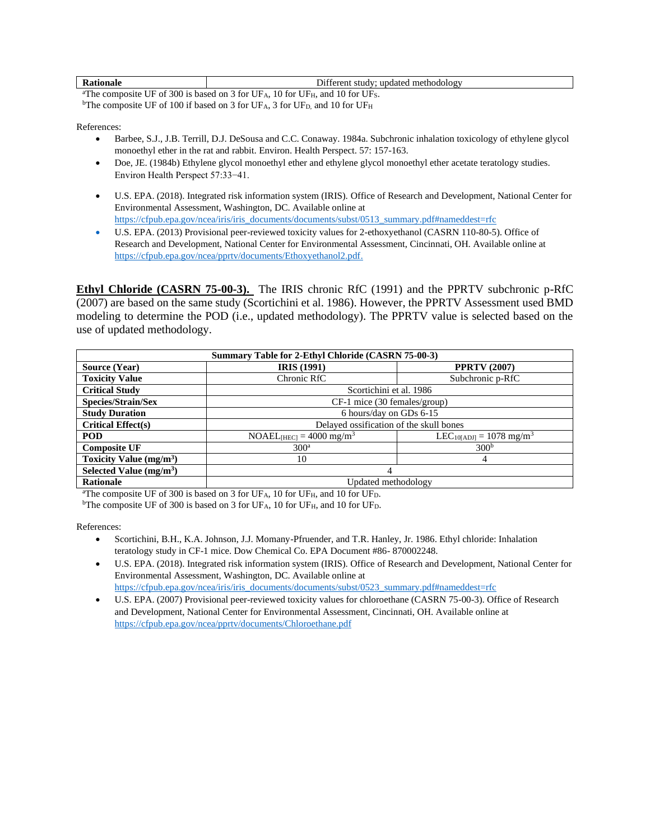| Rati<br>---- | $\cdots$<br>undateo<br>$-$<br>iethodology<br>$\alpha$ r $\alpha$ n<br>stud<br>me |
|--------------|----------------------------------------------------------------------------------|
|              |                                                                                  |

<sup>a</sup>The composite UF of 300 is based on 3 for UF<sub>A</sub>, 10 for UF<sub>H</sub>, and 10 for UF<sub>S</sub>. <sup>b</sup>The composite UF of 100 if based on 3 for UF<sub>A</sub>, 3 for UF<sub>D</sub>, and 10 for UF<sub>H</sub>

References:

Γ

- Barbee, S.J., J.B. Terrill, D.J. DeSousa and C.C. Conaway. 1984a. Subchronic inhalation toxicology of ethylene glycol monoethyl ether in the rat and rabbit. Environ. Health Perspect. 57: 157-163.
- Doe, JE. (1984b) Ethylene glycol monoethyl ether and ethylene glycol monoethyl ether acetate teratology studies. Environ Health Perspect 57:33−41.
- U.S. EPA. (2018). Integrated risk information system (IRIS). Office of Research and Development, National Center for Environmental Assessment, Washington, DC. Available online at [https://cfpub.epa.gov/ncea/iris/iris\\_documents/documents/subst/0513\\_summary.pdf#nameddest=rfc](https://cfpub.epa.gov/ncea/iris/iris_documents/documents/subst/0513_summary.pdf#nameddest=rfc)
- U.S. EPA. (2013) Provisional peer-reviewed toxicity values for 2-ethoxyethanol (CASRN 110-80-5). Office of Research and Development, National Center for Environmental Assessment, Cincinnati, OH. Available online at [https://cfpub.epa.gov/ncea/pprtv/documents/Ethoxyethanol2.pdf.](https://cfpub.epa.gov/ncea/pprtv/documents/Ethoxyethanol2.pdf)

**Ethyl Chloride (CASRN 75-00-3).** The IRIS chronic RfC (1991) and the PPRTV subchronic p-RfC (2007) are based on the same study (Scortichini et al. 1986). However, the PPRTV Assessment used BMD modeling to determine the POD (i.e., updated methodology). The PPRTV value is selected based on the use of updated methodology.

| Summary Table for 2-Ethyl Chloride (CASRN 75-00-3) |                                         |                                          |  |
|----------------------------------------------------|-----------------------------------------|------------------------------------------|--|
| <b>Source (Year)</b>                               | <b>IRIS</b> (1991)                      | <b>PPRTV (2007)</b>                      |  |
| <b>Toxicity Value</b>                              | Chronic RfC                             | Subchronic p-RfC                         |  |
| <b>Critical Study</b>                              | Scortichini et al. 1986                 |                                          |  |
| Species/Strain/Sex                                 | CF-1 mice (30 females/group)            |                                          |  |
| <b>Study Duration</b>                              | 6 hours/day on GDs 6-15                 |                                          |  |
| <b>Critical Effect(s)</b>                          | Delayed ossification of the skull bones |                                          |  |
| <b>POD</b>                                         | $NOAEL[HEC] = 4000 mg/m3$               | $LEC_{10[ADJ]} = 1078$ mg/m <sup>3</sup> |  |
| <b>Composite UF</b>                                | 300 <sup>a</sup>                        | 300 <sup>b</sup>                         |  |
| Toxicity Value $(mg/m3)$                           | 10                                      | 4                                        |  |
| Selected Value $(mg/m3)$                           |                                         |                                          |  |
| Rationale                                          | Updated methodology                     |                                          |  |

<sup>a</sup>The composite UF of 300 is based on 3 for UF<sub>A</sub>, 10 for UF<sub>H</sub>, and 10 for UF<sub>D</sub>.

<sup>b</sup>The composite UF of 300 is based on 3 for UF<sub>A</sub>, 10 for UF<sub>H</sub>, and 10 for UF<sub>D</sub>.

- Scortichini, B.H., K.A. Johnson, J.J. Momany-Pfruender, and T.R. Hanley, Jr. 1986. Ethyl chloride: Inhalation teratology study in CF-1 mice. Dow Chemical Co. EPA Document #86- 870002248.
- U.S. EPA. (2018). Integrated risk information system (IRIS). Office of Research and Development, National Center for Environmental Assessment, Washington, DC. Available online at [https://cfpub.epa.gov/ncea/iris/iris\\_documents/documents/subst/0523\\_summary.pdf#nameddest=rfc](https://cfpub.epa.gov/ncea/iris/iris_documents/documents/subst/0523_summary.pdf#nameddest=rfc)
- U.S. EPA. (2007) Provisional peer-reviewed toxicity values for chloroethane (CASRN 75-00-3). Office of Research and Development, National Center for Environmental Assessment, Cincinnati, OH. Available online at <https://cfpub.epa.gov/ncea/pprtv/documents/Chloroethane.pdf>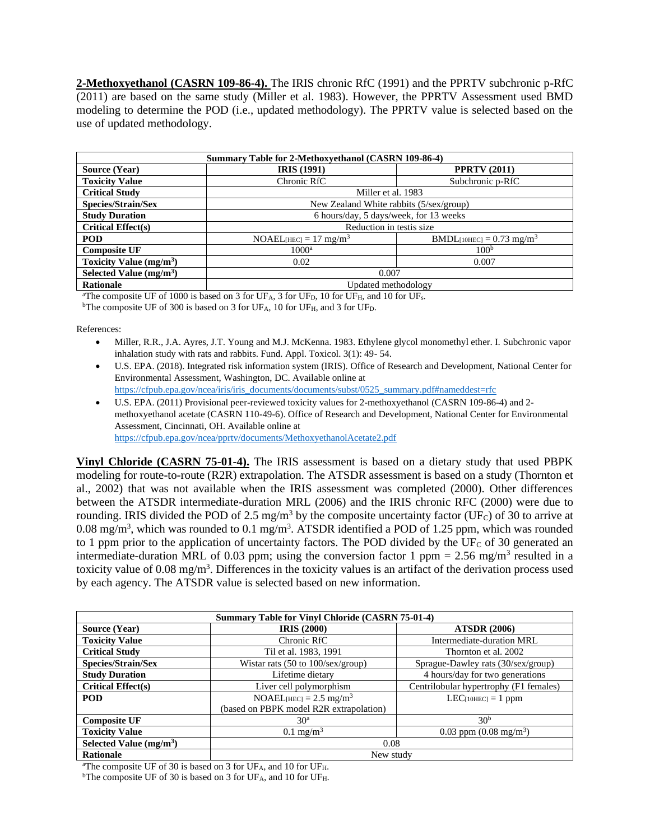**2-Methoxyethanol (CASRN 109-86-4).** The IRIS chronic RfC (1991) and the PPRTV subchronic p-RfC (2011) are based on the same study (Miller et al. 1983). However, the PPRTV Assessment used BMD modeling to determine the POD (i.e., updated methodology). The PPRTV value is selected based on the use of updated methodology.

| Summary Table for 2-Methoxyethanol (CASRN 109-86-4) |                                                                      |                  |  |
|-----------------------------------------------------|----------------------------------------------------------------------|------------------|--|
| Source (Year)                                       | <b>IRIS</b> (1991)<br><b>PPRTV (2011)</b>                            |                  |  |
| <b>Toxicity Value</b>                               | Chronic RfC                                                          | Subchronic p-RfC |  |
| <b>Critical Study</b>                               | Miller et al. 1983                                                   |                  |  |
| Species/Strain/Sex                                  | New Zealand White rabbits (5/sex/group)                              |                  |  |
| <b>Study Duration</b>                               | 6 hours/day, 5 days/week, for 13 weeks                               |                  |  |
| <b>Critical Effect(s)</b>                           | Reduction in testis size                                             |                  |  |
| <b>POD</b>                                          | $BMDL_{[10HEC]} = 0.73$ mg/m <sup>3</sup><br>$NOAEL[HEC] = 17 mg/m3$ |                  |  |
| <b>Composite UF</b>                                 | $1000^a$                                                             | 100 <sup>b</sup> |  |
| Toxicity Value $(mg/m3)$                            | 0.02                                                                 | 0.007            |  |
| Selected Value $(mg/m3)$                            | 0.007                                                                |                  |  |
| <b>Rationale</b>                                    | Updated methodology                                                  |                  |  |

<sup>a</sup>The composite UF of 1000 is based on 3 for UF<sub>A</sub>, 3 for UF<sub>D</sub>, 10 for UF<sub>H</sub>, and 10 for UF<sub>s</sub>.

<sup>b</sup>The composite UF of 300 is based on 3 for UF<sub>A</sub>, 10 for UF<sub>H</sub>, and 3 for UF<sub>D</sub>.

References:

- Miller, R.R., J.A. Ayres, J.T. Young and M.J. McKenna. 1983. Ethylene glycol monomethyl ether. I. Subchronic vapor inhalation study with rats and rabbits. Fund. Appl. Toxicol. 3(1): 49- 54.
- U.S. EPA. (2018). Integrated risk information system (IRIS). Office of Research and Development, National Center for Environmental Assessment, Washington, DC. Available online at [https://cfpub.epa.gov/ncea/iris/iris\\_documents/documents/subst/0525\\_summary.pdf#nameddest=rfc](https://cfpub.epa.gov/ncea/iris/iris_documents/documents/subst/0525_summary.pdf#nameddest=rfc)
- U.S. EPA. (2011) Provisional peer-reviewed toxicity values for 2-methoxyethanol (CASRN 109-86-4) and 2 methoxyethanol acetate (CASRN 110-49-6). Office of Research and Development, National Center for Environmental Assessment, Cincinnati, OH. Available online at

<https://cfpub.epa.gov/ncea/pprtv/documents/MethoxyethanolAcetate2.pdf>

**Vinyl Chloride (CASRN 75-01-4).** The IRIS assessment is based on a dietary study that used PBPK modeling for route-to-route (R2R) extrapolation. The ATSDR assessment is based on a study (Thornton et al., 2002) that was not available when the IRIS assessment was completed (2000). Other differences between the ATSDR intermediate-duration MRL (2006) and the IRIS chronic RFC (2000) were due to rounding. IRIS divided the POD of 2.5 mg/m<sup>3</sup> by the composite uncertainty factor (UF<sub>C</sub>) of 30 to arrive at 0.08 mg/m<sup>3</sup>, which was rounded to 0.1 mg/m<sup>3</sup>. ATSDR identified a POD of 1.25 ppm, which was rounded to 1 ppm prior to the application of uncertainty factors. The POD divided by the  $UF_C$  of 30 generated an intermediate-duration MRL of 0.03 ppm; using the conversion factor 1 ppm =  $2.56 \text{ mg/m}^3$  resulted in a toxicity value of 0.08 mg/m<sup>3</sup>. Differences in the toxicity values is an artifact of the derivation process used by each agency. The ATSDR value is selected based on new information.

| <b>Summary Table for Vinyl Chloride (CASRN 75-01-4)</b> |                                                     |                                        |  |
|---------------------------------------------------------|-----------------------------------------------------|----------------------------------------|--|
| <b>Source (Year)</b>                                    | <b>IRIS</b> (2000)                                  | <b>ATSDR (2006)</b>                    |  |
| <b>Toxicity Value</b>                                   | Chronic RfC                                         | Intermediate-duration MRL              |  |
| <b>Critical Study</b>                                   | Til et al. 1983, 1991                               | Thornton et al. 2002                   |  |
| Species/Strain/Sex                                      | Wistar rats $(50 \text{ to } 100/\text{sex/group})$ | Sprague-Dawley rats (30/sex/group)     |  |
| <b>Study Duration</b>                                   | Lifetime dietary                                    | 4 hours/day for two generations        |  |
| <b>Critical Effect(s)</b>                               | Liver cell polymorphism                             | Centrilobular hypertrophy (F1 females) |  |
| <b>POD</b>                                              | $NOAEL$ [HEC] = 2.5 mg/m <sup>3</sup>               | $LEC_{[10HEC]} = 1$ ppm                |  |
|                                                         | (based on PBPK model R2R extrapolation)             |                                        |  |
| <b>Composite UF</b>                                     | 30 <sup>a</sup>                                     | 30 <sup>b</sup>                        |  |
| <b>Toxicity Value</b>                                   | $0.1 \text{ mg/m}^3$                                | 0.03 ppm $(0.08 \text{ mg/m}^3)$       |  |
| Selected Value $(mg/m3)$                                | 0.08                                                |                                        |  |
| <b>Rationale</b>                                        | New study                                           |                                        |  |

<sup>a</sup>The composite UF of 30 is based on 3 for UFA, and 10 for UFH.

bThe composite UF of 30 is based on 3 for UFA, and 10 for UFH.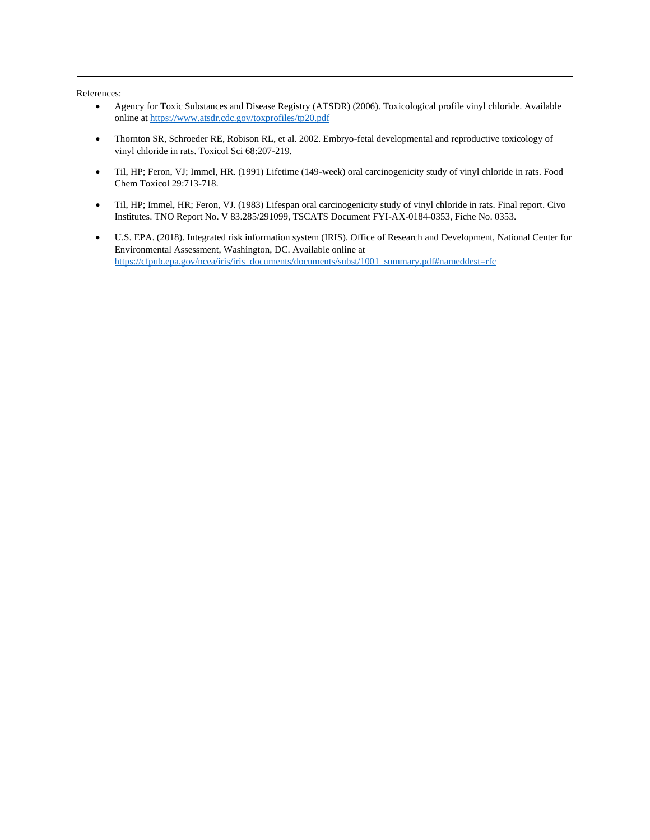- Agency for Toxic Substances and Disease Registry (ATSDR) (2006). Toxicological profile vinyl chloride. Available online a[t https://www.atsdr.cdc.gov/toxprofiles/tp20.pdf](https://www.atsdr.cdc.gov/toxprofiles/tp20.pdf)
- Thornton SR, Schroeder RE, Robison RL, et al. 2002. Embryo-fetal developmental and reproductive toxicology of vinyl chloride in rats. Toxicol Sci 68:207-219.
- Til, HP; Feron, VJ; Immel, HR. (1991) Lifetime (149-week) oral carcinogenicity study of vinyl chloride in rats. Food Chem Toxicol 29:713-718.
- Til, HP; Immel, HR; Feron, VJ. (1983) Lifespan oral carcinogenicity study of vinyl chloride in rats. Final report. Civo Institutes. TNO Report No. V 83.285/291099, TSCATS Document FYI-AX-0184-0353, Fiche No. 0353.
- U.S. EPA. (2018). Integrated risk information system (IRIS). Office of Research and Development, National Center for Environmental Assessment, Washington, DC. Available online at [https://cfpub.epa.gov/ncea/iris/iris\\_documents/documents/subst/1001\\_summary.pdf#nameddest=rfc](https://cfpub.epa.gov/ncea/iris/iris_documents/documents/subst/1001_summary.pdf#nameddest=rfc)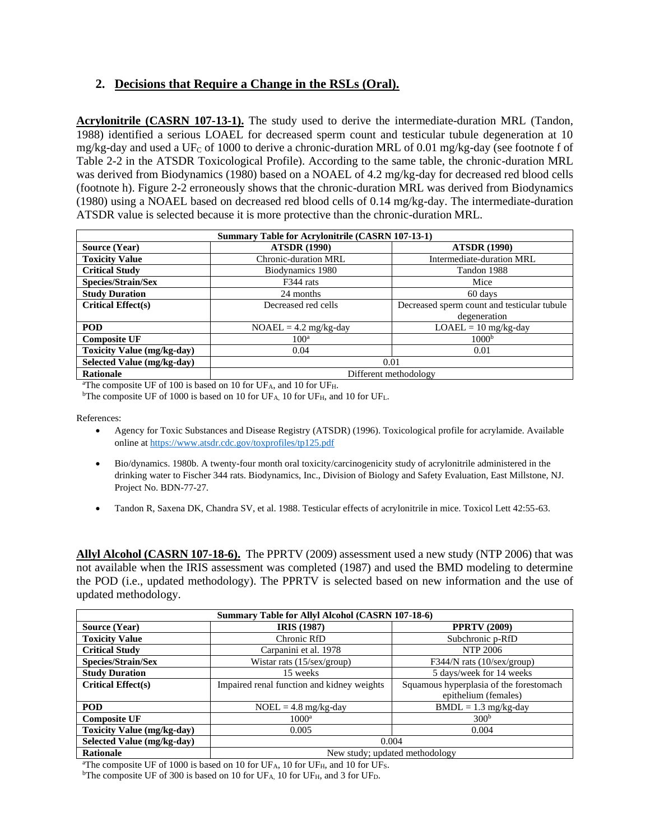## **2. Decisions that Require a Change in the RSLs (Oral).**

**Acrylonitrile (CASRN 107-13-1).** The study used to derive the intermediate-duration MRL (Tandon, 1988) identified a serious LOAEL for decreased sperm count and testicular tubule degeneration at 10 mg/kg-day and used a UF<sub>C</sub> of 1000 to derive a chronic-duration MRL of 0.01 mg/kg-day (see footnote f of Table 2-2 in the ATSDR Toxicological Profile). According to the same table, the chronic-duration MRL was derived from Biodynamics (1980) based on a NOAEL of 4.2 mg/kg-day for decreased red blood cells (footnote h). Figure 2-2 erroneously shows that the chronic-duration MRL was derived from Biodynamics (1980) using a NOAEL based on decreased red blood cells of 0.14 mg/kg-day. The intermediate-duration ATSDR value is selected because it is more protective than the chronic-duration MRL.

| <b>Summary Table for Acrylonitrile (CASRN 107-13-1)</b> |                         |                                             |  |
|---------------------------------------------------------|-------------------------|---------------------------------------------|--|
| <b>Source (Year)</b>                                    | <b>ATSDR (1990)</b>     | <b>ATSDR (1990)</b>                         |  |
| <b>Toxicity Value</b>                                   | Chronic-duration MRL    | Intermediate-duration MRL                   |  |
| <b>Critical Study</b>                                   | Biodynamics 1980        | Tandon 1988                                 |  |
| Species/Strain/Sex                                      | F344 rats               | Mice                                        |  |
| <b>Study Duration</b>                                   | 24 months               | 60 days                                     |  |
| <b>Critical Effect(s)</b>                               | Decreased red cells     | Decreased sperm count and testicular tubule |  |
|                                                         |                         | degeneration                                |  |
| <b>POD</b>                                              | $NOAEL = 4.2$ mg/kg-day | $LOAEL = 10$ mg/kg-day                      |  |
| <b>Composite UF</b>                                     | 100 <sup>a</sup>        | 1000 <sup>b</sup>                           |  |
| <b>Toxicity Value (mg/kg-day)</b>                       | 0.04                    | 0.01                                        |  |
| Selected Value (mg/kg-day)                              | 0.01                    |                                             |  |
| <b>Rationale</b>                                        | Different methodology   |                                             |  |

<sup>a</sup>The composite UF of 100 is based on 10 for UF<sub>A</sub>, and 10 for UF<sub>H</sub>.

<sup>b</sup>The composite UF of 1000 is based on 10 for UF<sub>A</sub>, 10 for UF<sub>H</sub>, and 10 for UF<sub>L</sub>.

References:

- Agency for Toxic Substances and Disease Registry (ATSDR) (1996). Toxicological profile for acrylamide. Available online a[t https://www.atsdr.cdc.gov/toxprofiles/tp125.pdf](https://www.atsdr.cdc.gov/toxprofiles/tp125.pdf)
- Bio/dynamics. 1980b. A twenty-four month oral toxicity/carcinogenicity study of acrylonitrile administered in the drinking water to Fischer 344 rats. Biodynamics, Inc., Division of Biology and Safety Evaluation, East Millstone, NJ. Project No. BDN-77-27.
- Tandon R, Saxena DK, Chandra SV, et al. 1988. Testicular effects of acrylonitrile in mice. Toxicol Lett 42:55-63.

**Allyl Alcohol (CASRN 107-18-6).** The PPRTV (2009) assessment used a new study (NTP 2006) that was not available when the IRIS assessment was completed (1987) and used the BMD modeling to determine the POD (i.e., updated methodology). The PPRTV is selected based on new information and the use of updated methodology.

| Summary Table for Allyl Alcohol (CASRN 107-18-6) |                                            |                                         |  |
|--------------------------------------------------|--------------------------------------------|-----------------------------------------|--|
| <b>Source (Year)</b>                             | <b>IRIS</b> (1987)                         | <b>PPRTV (2009)</b>                     |  |
| <b>Toxicity Value</b>                            | Chronic RfD                                | Subchronic p-RfD                        |  |
| <b>Critical Study</b>                            | Carpanini et al. 1978                      | <b>NTP 2006</b>                         |  |
| Species/Strain/Sex                               | Wistar rats $(15/\text{sex/group})$        | $F344/N$ rats (10/sex/group)            |  |
| <b>Study Duration</b>                            | 15 weeks                                   | 5 days/week for 14 weeks                |  |
| <b>Critical Effect(s)</b>                        | Impaired renal function and kidney weights | Squamous hyperplasia of the forestomach |  |
|                                                  |                                            | epithelium (females)                    |  |
| <b>POD</b>                                       | $NOEL = 4.8$ mg/kg-day                     | $BMDL = 1.3$ mg/kg-day                  |  |
| <b>Composite UF</b>                              | $1000^{\rm a}$                             | 300 <sup>b</sup>                        |  |
| <b>Toxicity Value (mg/kg-day)</b>                | 0.005                                      | 0.004                                   |  |
| Selected Value (mg/kg-day)                       | 0.004                                      |                                         |  |
| <b>Rationale</b>                                 | New study; updated methodology             |                                         |  |

<sup>a</sup>The composite UF of 1000 is based on 10 for UF<sub>A</sub>, 10 for UF<sub>H</sub>, and 10 for UF<sub>S</sub>.

bThe composite UF of 300 is based on 10 for UFA, 10 for UFH, and 3 for UFD.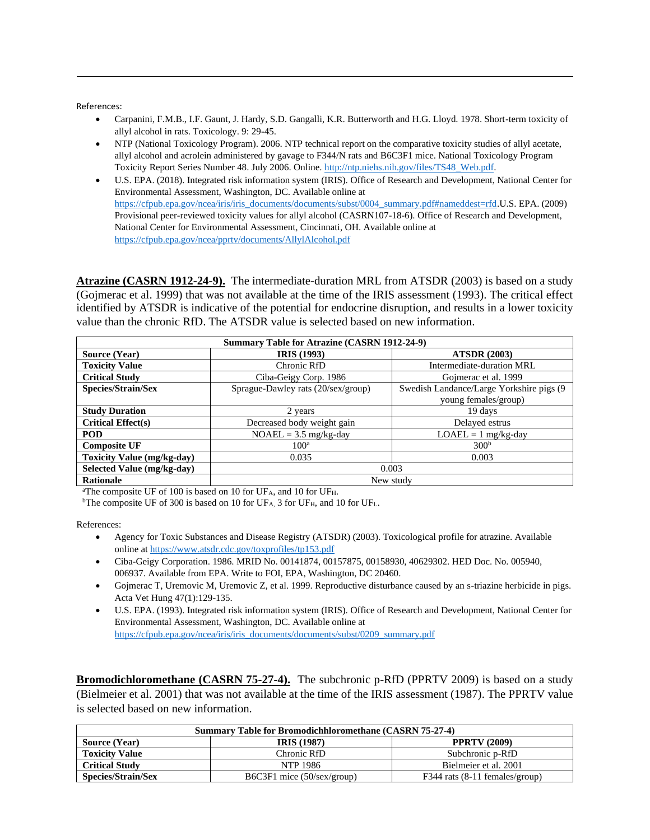References:

- Carpanini, F.M.B., I.F. Gaunt, J. Hardy, S.D. Gangalli, K.R. Butterworth and H.G. Lloyd. 1978. Short-term toxicity of allyl alcohol in rats. Toxicology. 9: 29-45.
- NTP (National Toxicology Program). 2006. NTP technical report on the comparative toxicity studies of allyl acetate, allyl alcohol and acrolein administered by gavage to F344/N rats and B6C3F1 mice. National Toxicology Program Toxicity Report Series Number 48. July 2006. Online. [http://ntp.niehs.nih.gov/files/TS48\\_Web.pdf.](http://ntp.niehs.nih.gov/files/TS48_Web.pdf)
- U.S. EPA. (2018). Integrated risk information system (IRIS). Office of Research and Development, National Center for Environmental Assessment, Washington, DC. Available online at [https://cfpub.epa.gov/ncea/iris/iris\\_documents/documents/subst/0004\\_summary.pdf#nameddest=rfd.U](https://cfpub.epa.gov/ncea/iris/iris_documents/documents/subst/0004_summary.pdf#nameddest=rfd).S. EPA. (2009) Provisional peer-reviewed toxicity values for allyl alcohol (CASRN107-18-6). Office of Research and Development, National Center for Environmental Assessment, Cincinnati, OH. Available online at <https://cfpub.epa.gov/ncea/pprtv/documents/AllylAlcohol.pdf>

**Atrazine (CASRN 1912-24-9).** The intermediate-duration MRL from ATSDR (2003) is based on a study (Gojmerac et al. 1999) that was not available at the time of the IRIS assessment (1993). The critical effect identified by ATSDR is indicative of the potential for endocrine disruption, and results in a lower toxicity value than the chronic RfD. The ATSDR value is selected based on new information.

| <b>Summary Table for Atrazine (CASRN 1912-24-9)</b> |                                          |                                           |  |
|-----------------------------------------------------|------------------------------------------|-------------------------------------------|--|
| Source (Year)                                       | <b>IRIS</b> (1993)                       | <b>ATSDR (2003)</b>                       |  |
| <b>Toxicity Value</b>                               | Intermediate-duration MRL<br>Chronic RfD |                                           |  |
| <b>Critical Study</b>                               | Ciba-Geigy Corp. 1986                    | Gojmerac et al. 1999                      |  |
| Species/Strain/Sex                                  | Sprague-Dawley rats (20/sex/group)       | Swedish Landance/Large Yorkshire pigs (9) |  |
|                                                     |                                          | young females/group)                      |  |
| <b>Study Duration</b>                               | 2 years                                  | 19 days                                   |  |
| <b>Critical Effect(s)</b>                           | Decreased body weight gain               | Delayed estrus                            |  |
| <b>POD</b>                                          | $NOAEL = 3.5$ mg/kg-day                  | $LOAEL = 1$ mg/kg-day                     |  |
| <b>Composite UF</b>                                 | 100 <sup>a</sup>                         | 300 <sup>b</sup>                          |  |
| <b>Toxicity Value (mg/kg-day)</b>                   | 0.035                                    | 0.003                                     |  |
| Selected Value (mg/kg-day)                          | 0.003                                    |                                           |  |
| <b>Rationale</b>                                    | New study                                |                                           |  |

<sup>a</sup>The composite UF of 100 is based on 10 for UF<sub>A</sub>, and 10 for UF<sub>H</sub>.

<sup>b</sup>The composite UF of 300 is based on 10 for UF<sub>A</sub>, 3 for UF<sub>H</sub>, and 10 for UF<sub>L</sub>.

References:

- Agency for Toxic Substances and Disease Registry (ATSDR) (2003). Toxicological profile for atrazine. Available online a[t https://www.atsdr.cdc.gov/toxprofiles/tp153.pdf](https://www.atsdr.cdc.gov/toxprofiles/tp153.pdf)
- Ciba-Geigy Corporation. 1986. MRID No. 00141874, 00157875, 00158930, 40629302. HED Doc. No. 005940, 006937. Available from EPA. Write to FOI, EPA, Washington, DC 20460.
- Gojmerac T, Uremovic M, Uremovic Z, et al. 1999. Reproductive disturbance caused by an s-triazine herbicide in pigs. Acta Vet Hung 47(1):129-135.
- U.S. EPA. (1993). Integrated risk information system (IRIS). Office of Research and Development, National Center for Environmental Assessment, Washington, DC. Available online at [https://cfpub.epa.gov/ncea/iris/iris\\_documents/documents/subst/0209\\_summary.pdf](https://cfpub.epa.gov/ncea/iris/iris_documents/documents/subst/0209_summary.pdf)

**Bromodichloromethane (CASRN 75-27-4).** The subchronic p-RfD (PPRTV 2009) is based on a study (Bielmeier et al. 2001) that was not available at the time of the IRIS assessment (1987). The PPRTV value is selected based on new information.

| <b>Summary Table for Bromodichhloromethane (CASRN 75-27-4)</b>    |                                       |                                  |  |
|-------------------------------------------------------------------|---------------------------------------|----------------------------------|--|
| <b>PPRTV (2009)</b><br><b>IRIS (1987)</b><br><b>Source (Year)</b> |                                       |                                  |  |
| <b>Toxicity Value</b>                                             | Chronic RfD                           | Subchronic p-RfD                 |  |
| <b>Critical Study</b>                                             | NTP 1986                              | Bielmeier et al. 2001            |  |
| Species/Strain/Sex                                                | $B6C3F1$ mice $(50/\text{sex/group})$ | $F344$ rats (8-11 females/group) |  |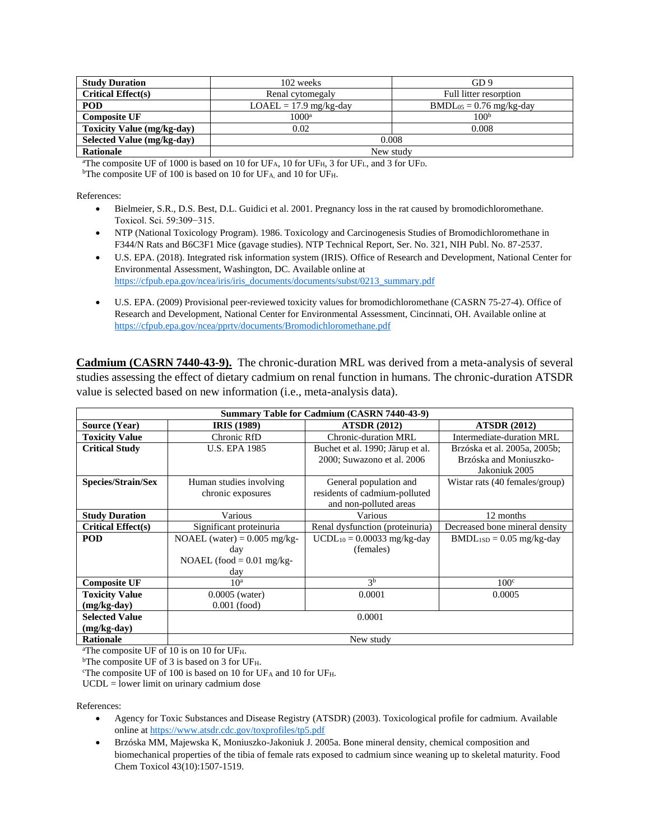| <b>Study Duration</b>             | 102 weeks                | GD9                          |  |
|-----------------------------------|--------------------------|------------------------------|--|
| <b>Critical Effect(s)</b>         | Renal cytomegaly         | Full litter resorption       |  |
| <b>POD</b>                        | $LOAEL = 17.9$ mg/kg-day | $BMDL_{05} = 0.76$ mg/kg-day |  |
| <b>Composite UF</b>               | 1000 <sup>a</sup>        | 100 <sup>b</sup>             |  |
| <b>Toxicity Value (mg/kg-day)</b> | 0.02                     | 0.008                        |  |
| Selected Value (mg/kg-day)        | 0.008                    |                              |  |
| Rationale                         | New study                |                              |  |

<sup>a</sup>The composite UF of 1000 is based on 10 for UF<sub>A</sub>, 10 for UF<sub>H</sub>, 3 for UF<sub>L</sub>, and 3 for UF<sub>D</sub>.

<sup>b</sup>The composite UF of 100 is based on 10 for UF<sub>A</sub>, and 10 for UF<sub>H</sub>.

References:

- Bielmeier, S.R., D.S. Best, D.L. Guidici et al. 2001. Pregnancy loss in the rat caused by bromodichloromethane. Toxicol. Sci. 59:309−315.
- NTP (National Toxicology Program). 1986. Toxicology and Carcinogenesis Studies of Bromodichloromethane in F344/N Rats and B6C3F1 Mice (gavage studies). NTP Technical Report, Ser. No. 321, NIH Publ. No. 87-2537.
- U.S. EPA. (2018). Integrated risk information system (IRIS). Office of Research and Development, National Center for Environmental Assessment, Washington, DC. Available online at [https://cfpub.epa.gov/ncea/iris/iris\\_documents/documents/subst/0213\\_summary.pdf](https://cfpub.epa.gov/ncea/iris/iris_documents/documents/subst/0213_summary.pdf)
- U.S. EPA. (2009) Provisional peer-reviewed toxicity values for bromodichloromethane (CASRN 75-27-4). Office of Research and Development, National Center for Environmental Assessment, Cincinnati, OH. Available online at <https://cfpub.epa.gov/ncea/pprtv/documents/Bromodichloromethane.pdf>

**Cadmium (CASRN 7440-43-9).** The chronic-duration MRL was derived from a meta-analysis of several studies assessing the effect of dietary cadmium on renal function in humans. The chronic-duration ATSDR value is selected based on new information (i.e., meta-analysis data).

| <b>Summary Table for Cadmium (CASRN 7440-43-9)</b> |                                |                                  |                                |  |
|----------------------------------------------------|--------------------------------|----------------------------------|--------------------------------|--|
| Source (Year)                                      | <b>IRIS</b> (1989)             | <b>ATSDR (2012)</b>              | <b>ATSDR (2012)</b>            |  |
| <b>Toxicity Value</b>                              | Chronic RfD                    | Chronic-duration MRL             | Intermediate-duration MRL      |  |
| <b>Critical Study</b>                              | <b>U.S. EPA 1985</b>           | Buchet et al. 1990; Järup et al. | Brzóska et al. 2005a, 2005b;   |  |
|                                                    |                                | 2000; Suwazono et al. 2006       | Brzóska and Moniuszko-         |  |
|                                                    |                                |                                  | Jakoniuk 2005                  |  |
| Species/Strain/Sex                                 | Human studies involving        | General population and           | Wistar rats (40 females/group) |  |
|                                                    | chronic exposures              | residents of cadmium-polluted    |                                |  |
|                                                    |                                | and non-polluted areas           |                                |  |
| <b>Study Duration</b>                              | Various                        | Various                          | 12 months                      |  |
| <b>Critical Effect(s)</b>                          | Significant proteinuria        | Renal dysfunction (proteinuria)  | Decreased bone mineral density |  |
| POD                                                | NOAEL (water) = $0.005$ mg/kg- | $UCDL_{10} = 0.00033$ mg/kg-day  | $BMDL_{1SD} = 0.05$ mg/kg-day  |  |
|                                                    | day                            | (females)                        |                                |  |
|                                                    | NOAEL (food $= 0.01$ mg/kg-    |                                  |                                |  |
|                                                    | day                            |                                  |                                |  |
| <b>Composite UF</b>                                | 10 <sup>a</sup>                | 3 <sup>b</sup>                   | 100 <sup>c</sup>               |  |
| <b>Toxicity Value</b>                              | $0.0005$ (water)               | 0.0001                           | 0.0005                         |  |
| $(mg/kg-day)$                                      | $0.001$ (food)                 |                                  |                                |  |
| <b>Selected Value</b>                              | 0.0001                         |                                  |                                |  |
| $(mg/kg-day)$                                      |                                |                                  |                                |  |
| <b>Rationale</b>                                   | New study                      |                                  |                                |  |

<sup>a</sup>The composite UF of 10 is on 10 for UFH.

<sup>b</sup>The composite UF of 3 is based on 3 for UF $_{\text{H}}$ .

<sup>c</sup>The composite UF of 100 is based on 10 for UF<sup>A</sup> and 10 for UFH.

UCDL = lower limit on urinary cadmium dose

- Agency for Toxic Substances and Disease Registry (ATSDR) (2003). Toxicological profile for cadmium. Available online a[t https://www.atsdr.cdc.gov/toxprofiles/tp5.pdf](https://www.atsdr.cdc.gov/toxprofiles/tp5.pdf)
- Brzóska MM, Majewska K, Moniuszko-Jakoniuk J. 2005a. Bone mineral density, chemical composition and biomechanical properties of the tibia of female rats exposed to cadmium since weaning up to skeletal maturity. Food Chem Toxicol 43(10):1507-1519.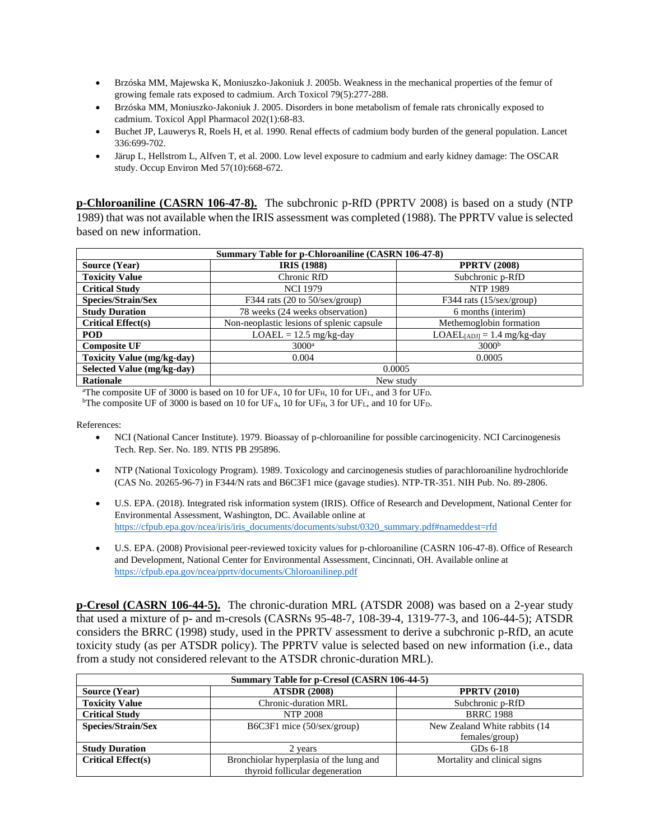- Brzóska MM, Majewska K, Moniuszko-Jakoniuk J. 2005b. Weakness in the mechanical properties of the femur of growing female rats exposed to cadmium. Arch Toxicol 79(5):277-288.
- Brzóska MM, Moniuszko-Jakoniuk J. 2005. Disorders in bone metabolism of female rats chronically exposed to cadmium. Toxicol Appl Pharmacol 202(1):68-83.
- Buchet JP, Lauwerys R, Roels H, et al. 1990. Renal effects of cadmium body burden of the general population. Lancet 336:699-702.
- Järup L, Hellstrom L, Alfven T, et al. 2000. Low level exposure to cadmium and early kidney damage: The OSCAR study. Occup Environ Med 57(10):668-672.

**p-Chloroaniline (CASRN 106-47-8).** The subchronic p-RfD (PPRTV 2008) is based on a study (NTP 1989) that was not available when the IRIS assessment was completed (1988). The PPRTV value is selected based on new information.

| Summary Table for p-Chloroaniline (CASRN 106-47-8) |                                           |                              |  |
|----------------------------------------------------|-------------------------------------------|------------------------------|--|
| Source (Year)                                      | <b>IRIS (1988)</b>                        | <b>PPRTV (2008)</b>          |  |
| <b>Toxicity Value</b>                              | Chronic RfD                               | Subchronic p-RfD             |  |
| <b>Critical Study</b>                              | <b>NCI 1979</b>                           | <b>NTP 1989</b>              |  |
| Species/Strain/Sex                                 | F344 rats (20 to $50$ /sex/group)         | F344 rats (15/sex/group)     |  |
| <b>Study Duration</b>                              | 78 weeks (24 weeks observation)           | 6 months (interim)           |  |
| <b>Critical Effect(s)</b>                          | Non-neoplastic lesions of splenic capsule | Methemoglobin formation      |  |
| <b>POD</b>                                         | $LOAEL = 12.5$ mg/kg-day                  | $LOAEL[ADJ] = 1.4 mg/kg-day$ |  |
| <b>Composite UF</b>                                | $3000^a$                                  | 3000 <sup>b</sup>            |  |
| <b>Toxicity Value (mg/kg-day)</b>                  | 0.004<br>0.0005                           |                              |  |
| Selected Value (mg/kg-day)                         | 0.0005                                    |                              |  |
| <b>Rationale</b>                                   | New study                                 |                              |  |

<sup>a</sup>The composite UF of 3000 is based on 10 for UF<sub>A</sub>, 10 for UF<sub>H</sub>, 10 for UF<sub>L</sub>, and 3 for UF<sub>D</sub>.

bThe composite UF of 3000 is based on 10 for UFA, 10 for UF<sub>H</sub>, 3 for UF<sub>L</sub>, and 10 for UF<sub>D</sub>.

References:

- NCI (National Cancer Institute). 1979. Bioassay of p-chloroaniline for possible carcinogenicity. NCI Carcinogenesis Tech. Rep. Ser. No. 189. NTIS PB 295896.
- NTP (National Toxicology Program). 1989. Toxicology and carcinogenesis studies of parachloroaniline hydrochloride (CAS No. 20265-96-7) in F344/N rats and B6C3F1 mice (gavage studies). NTP-TR-351. NIH Pub. No. 89-2806.
- U.S. EPA. (2018). Integrated risk information system (IRIS). Office of Research and Development, National Center for Environmental Assessment, Washington, DC. Available online at [https://cfpub.epa.gov/ncea/iris/iris\\_documents/documents/subst/0320\\_summary.pdf#nameddest=rfd](https://cfpub.epa.gov/ncea/iris/iris_documents/documents/subst/0320_summary.pdf#nameddest=rfd)
- U.S. EPA. (2008) Provisional peer-reviewed toxicity values for p-chloroaniline (CASRN 106-47-8). Office of Research and Development, National Center for Environmental Assessment, Cincinnati, OH. Available online at <https://cfpub.epa.gov/ncea/pprtv/documents/Chloroanilinep.pdf>

**p-Cresol (CASRN 106-44-5).** The chronic-duration MRL (ATSDR 2008) was based on a 2-year study that used a mixture of p- and m-cresols (CASRNs 95-48-7, 108-39-4, 1319-77-3, and 106-44-5); ATSDR considers the BRRC (1998) study, used in the PPRTV assessment to derive a subchronic p-RfD, an acute toxicity study (as per ATSDR policy). The PPRTV value is selected based on new information (i.e., data from a study not considered relevant to the ATSDR chronic-duration MRL).

| Summary Table for p-Cresol (CASRN 106-44-5) |                                         |                               |  |
|---------------------------------------------|-----------------------------------------|-------------------------------|--|
| <b>Source (Year)</b>                        | <b>ATSDR (2008)</b>                     | <b>PPRTV (2010)</b>           |  |
| <b>Toxicity Value</b>                       | Chronic-duration MRL                    | Subchronic p-RfD              |  |
| <b>Critical Study</b>                       | <b>NTP 2008</b>                         | <b>BRRC 1988</b>              |  |
| <b>Species/Strain/Sex</b>                   | $B6C3F1$ mice $(50/\text{sex/group})$   | New Zealand White rabbits (14 |  |
|                                             |                                         | females/group)                |  |
| <b>Study Duration</b>                       | 2 years                                 | GDs $6-18$                    |  |
| <b>Critical Effect(s)</b>                   | Bronchiolar hyperplasia of the lung and | Mortality and clinical signs  |  |
|                                             | thyroid follicular degeneration         |                               |  |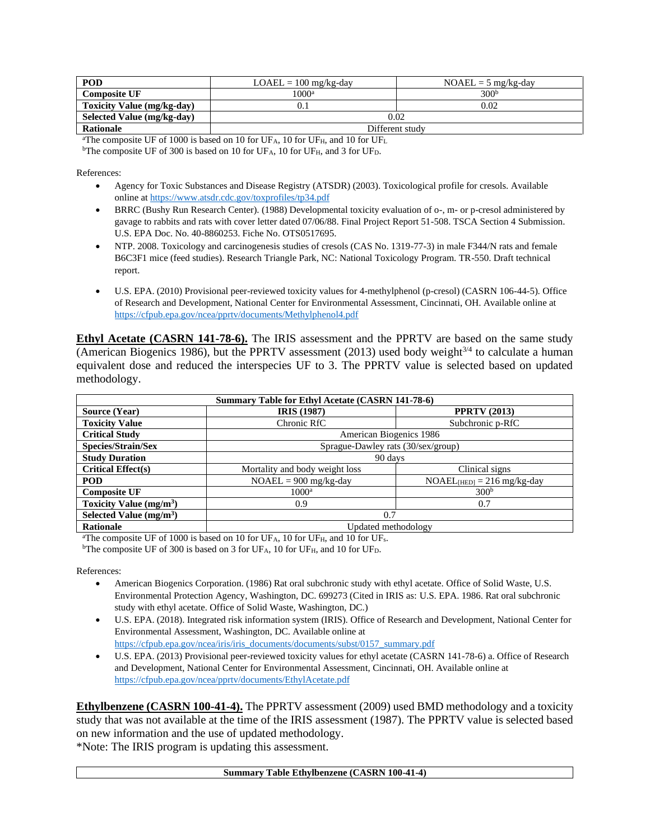| POD                        | $LOAEL = 100$ mg/kg-day | $NOAEL = 5$ mg/kg-day |
|----------------------------|-------------------------|-----------------------|
| <b>Composite UF</b>        | 1000 <sup>a</sup>       | 300 <sup>b</sup>      |
| Toxicity Value (mg/kg-day) |                         | 0.02                  |
| Selected Value (mg/kg-day) | 0.02                    |                       |
| Rationale                  | Different study         |                       |

<sup>a</sup>The composite UF of 1000 is based on 10 for UF<sub>A</sub>, 10 for UF<sub>H</sub>, and 10 for UF<sub>L</sub>

<sup>b</sup>The composite UF of 300 is based on 10 for UF<sub>A</sub>, 10 for UF<sub>H</sub>, and 3 for UF<sub>D</sub>.

References:

- Agency for Toxic Substances and Disease Registry (ATSDR) (2003). Toxicological profile for cresols. Available online a[t https://www.atsdr.cdc.gov/toxprofiles/tp34.pdf](https://www.atsdr.cdc.gov/toxprofiles/tp34.pdf)
- BRRC (Bushy Run Research Center). (1988) Developmental toxicity evaluation of o-, m- or p-cresol administered by gavage to rabbits and rats with cover letter dated 07/06/88. Final Project Report 51-508. TSCA Section 4 Submission. U.S. EPA Doc. No. 40-8860253. Fiche No. OTS0517695.
- NTP. 2008. Toxicology and carcinogenesis studies of cresols (CAS No. 1319-77-3) in male F344/N rats and female B6C3F1 mice (feed studies). Research Triangle Park, NC: National Toxicology Program. TR-550. Draft technical report.
- U.S. EPA. (2010) Provisional peer-reviewed toxicity values for 4-methylphenol (p-cresol) (CASRN 106-44-5). Office of Research and Development, National Center for Environmental Assessment, Cincinnati, OH. Available online at <https://cfpub.epa.gov/ncea/pprtv/documents/Methylphenol4.pdf>

**Ethyl Acetate (CASRN 141-78-6).** The IRIS assessment and the PPRTV are based on the same study (American Biogenics 1986), but the PPRTV assessment (2013) used body weight $3/4$  to calculate a human equivalent dose and reduced the interspecies UF to 3. The PPRTV value is selected based on updated methodology.

| Summary Table for Ethyl Acetate (CASRN 141-78-6) |                                    |                               |  |  |
|--------------------------------------------------|------------------------------------|-------------------------------|--|--|
| <b>Source (Year)</b>                             | <b>IRIS (1987)</b>                 | <b>PPRTV (2013)</b>           |  |  |
| <b>Toxicity Value</b>                            | Chronic RfC                        | Subchronic p-RfC              |  |  |
| <b>Critical Study</b>                            |                                    | American Biogenics 1986       |  |  |
| Species/Strain/Sex                               | Sprague-Dawley rats (30/sex/group) |                               |  |  |
| <b>Study Duration</b>                            | 90 days                            |                               |  |  |
| <b>Critical Effect(s)</b>                        | Mortality and body weight loss     | Clinical signs                |  |  |
| <b>POD</b>                                       | $NOAEL = 900$ mg/kg-day            | $NOAEL$ [HED] = 216 mg/kg-day |  |  |
| <b>Composite UF</b>                              | $1000^a$                           | 300 <sup>b</sup>              |  |  |
| Toxicity Value $(mg/m3)$                         | 0.9                                | 0.7                           |  |  |
| Selected Value $(mg/m3)$                         | 0.7                                |                               |  |  |
| <b>Rationale</b>                                 | Updated methodology                |                               |  |  |

<sup>a</sup>The composite UF of 1000 is based on 10 for UF<sub>A</sub>, 10 for UF<sub>H</sub>, and 10 for UF<sub>s</sub>.

<sup>b</sup>The composite UF of 300 is based on 3 for UF<sub>A</sub>, 10 for UF<sub>H</sub>, and 10 for UF<sub>D</sub>.

References:

- American Biogenics Corporation. (1986) Rat oral subchronic study with ethyl acetate. Office of Solid Waste, U.S. Environmental Protection Agency, Washington, DC. 699273 (Cited in IRIS as: U.S. EPA. 1986. Rat oral subchronic study with ethyl acetate. Office of Solid Waste, Washington, DC.)
- U.S. EPA. (2018). Integrated risk information system (IRIS). Office of Research and Development, National Center for Environmental Assessment, Washington, DC. Available online at [https://cfpub.epa.gov/ncea/iris/iris\\_documents/documents/subst/0157\\_summary.pdf](https://cfpub.epa.gov/ncea/iris/iris_documents/documents/subst/0157_summary.pdf)
- U.S. EPA. (2013) Provisional peer-reviewed toxicity values for ethyl acetate (CASRN 141-78-6) a. Office of Research and Development, National Center for Environmental Assessment, Cincinnati, OH. Available online at <https://cfpub.epa.gov/ncea/pprtv/documents/EthylAcetate.pdf>

**Ethylbenzene (CASRN 100-41-4).** The PPRTV assessment (2009) used BMD methodology and a toxicity study that was not available at the time of the IRIS assessment (1987). The PPRTV value is selected based on new information and the use of updated methodology. \*Note: The IRIS program is updating this assessment.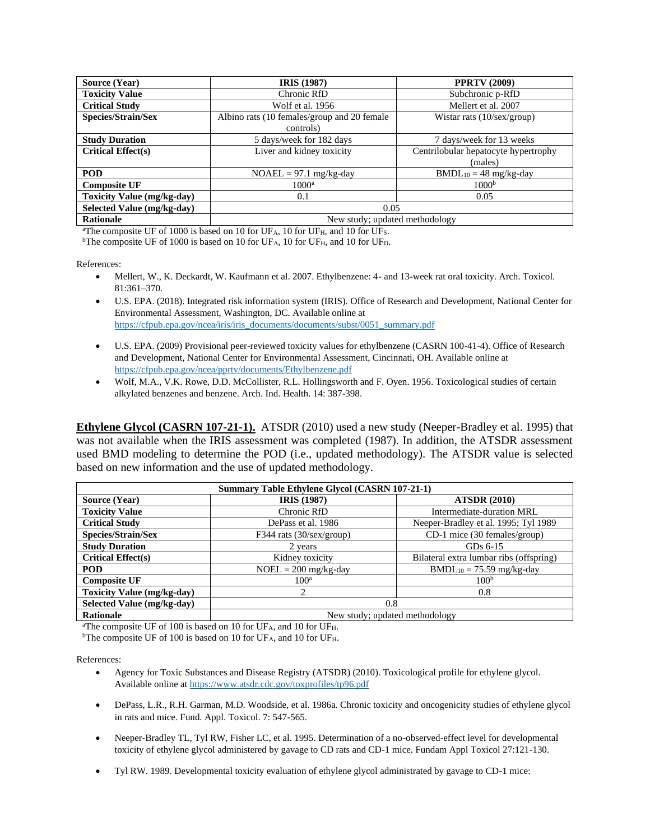| Source (Year)                     | <b>IRIS</b> (1987)                          | <b>PPRTV (2009)</b>                  |
|-----------------------------------|---------------------------------------------|--------------------------------------|
| <b>Toxicity Value</b>             | Chronic RfD                                 | Subchronic p-RfD                     |
| <b>Critical Study</b>             | Wolf et al. 1956                            | Mellert et al. 2007                  |
| Species/Strain/Sex                | Albino rats (10 females/group and 20 female | Wistar rats $(10/\text{sex/group})$  |
|                                   | controls)                                   |                                      |
| <b>Study Duration</b>             | 5 days/week for 182 days                    | 7 days/week for 13 weeks             |
| <b>Critical Effect(s)</b>         | Liver and kidney toxicity                   | Centrilobular hepatocyte hypertrophy |
|                                   |                                             | (males)                              |
| <b>POD</b>                        | $NOAEL = 97.1$ mg/kg-day                    | $BMDL_{10} = 48$ mg/kg-day           |
| <b>Composite UF</b>               | $1000^a$                                    | 1000 <sup>b</sup>                    |
| <b>Toxicity Value (mg/kg-day)</b> | 0.1                                         | 0.05                                 |
| Selected Value (mg/kg-day)        | 0.05                                        |                                      |
| Rationale                         | New study; updated methodology              |                                      |

<sup>a</sup>The composite UF of 1000 is based on 10 for UF<sub>A</sub>, 10 for UF<sub>H</sub>, and 10 for UF<sub>S</sub>.

bThe composite UF of 1000 is based on 10 for UF<sub>A</sub>, 10 for UF<sub>H</sub>, and 10 for UF<sub>D</sub>.

References:

- Mellert, W., K. Deckardt, W. Kaufmann et al. 2007. Ethylbenzene: 4- and 13-week rat oral toxicity. Arch. Toxicol. 81:361–370.
- U.S. EPA. (2018). Integrated risk information system (IRIS). Office of Research and Development, National Center for Environmental Assessment, Washington, DC. Available online at [https://cfpub.epa.gov/ncea/iris/iris\\_documents/documents/subst/0051\\_summary.pdf](https://cfpub.epa.gov/ncea/iris/iris_documents/documents/subst/0051_summary.pdf)
- U.S. EPA. (2009) Provisional peer-reviewed toxicity values for ethylbenzene (CASRN 100-41-4). Office of Research and Development, National Center for Environmental Assessment, Cincinnati, OH. Available online at <https://cfpub.epa.gov/ncea/pprtv/documents/Ethylbenzene.pdf>
- Wolf, M.A., V.K. Rowe, D.D. McCollister, R.L. Hollingsworth and F. Oyen. 1956. Toxicological studies of certain alkylated benzenes and benzene. Arch. Ind. Health. 14: 387-398.

**Ethylene Glycol (CASRN 107-21-1).** ATSDR (2010) used a new study (Neeper-Bradley et al. 1995) that was not available when the IRIS assessment was completed (1987). In addition, the ATSDR assessment used BMD modeling to determine the POD (i.e., updated methodology). The ATSDR value is selected based on new information and the use of updated methodology.

| <b>Summary Table Ethylene Glycol (CASRN 107-21-1)</b> |                                   |                                         |  |
|-------------------------------------------------------|-----------------------------------|-----------------------------------------|--|
| <b>Source (Year)</b>                                  | <b>IRIS (1987)</b>                | <b>ATSDR (2010)</b>                     |  |
| <b>Toxicity Value</b>                                 | Chronic RfD                       | Intermediate-duration MRL               |  |
| <b>Critical Study</b>                                 | DePass et al. 1986                | Neeper-Bradley et al. 1995; Tyl 1989    |  |
| Species/Strain/Sex                                    | F344 rats $(30/\text{sex/group})$ | CD-1 mice (30 females/group)            |  |
| <b>Study Duration</b>                                 | 2 years                           | GDs $6-15$                              |  |
| <b>Critical Effect(s)</b>                             | Kidney toxicity                   | Bilateral extra lumbar ribs (offspring) |  |
| <b>POD</b>                                            | $NOEL = 200$ mg/kg-day            | $BMDL_{10} = 75.59$ mg/kg-day           |  |
| <b>Composite UF</b>                                   | 100 <sup>a</sup>                  | 100 <sup>b</sup>                        |  |
| <b>Toxicity Value (mg/kg-day)</b>                     | 2                                 | 0.8                                     |  |
| Selected Value (mg/kg-day)                            | 0.8                               |                                         |  |
| <b>Rationale</b>                                      | New study; updated methodology    |                                         |  |

<sup>a</sup>The composite UF of 100 is based on 10 for UF<sub>A</sub>, and 10 for UF<sub>H</sub>.

<sup>b</sup>The composite UF of 100 is based on 10 for UF<sub>A</sub>, and 10 for UF<sub>H</sub>.

- Agency for Toxic Substances and Disease Registry (ATSDR) (2010). Toxicological profile for ethylene glycol. Available online a[t https://www.atsdr.cdc.gov/toxprofiles/tp96.pdf](https://www.atsdr.cdc.gov/toxprofiles/tp96.pdf)
- DePass, L.R., R.H. Garman, M.D. Woodside, et al. 1986a. Chronic toxicity and oncogenicity studies of ethylene glycol in rats and mice. Fund. Appl. Toxicol. 7: 547-565.
- Neeper-Bradley TL, Tyl RW, Fisher LC, et al. 1995. Determination of a no-observed-effect level for developmental toxicity of ethylene glycol administered by gavage to CD rats and CD-1 mice. Fundam Appl Toxicol 27:121-130.
- Tyl RW. 1989. Developmental toxicity evaluation of ethylene glycol administrated by gavage to CD-1 mice: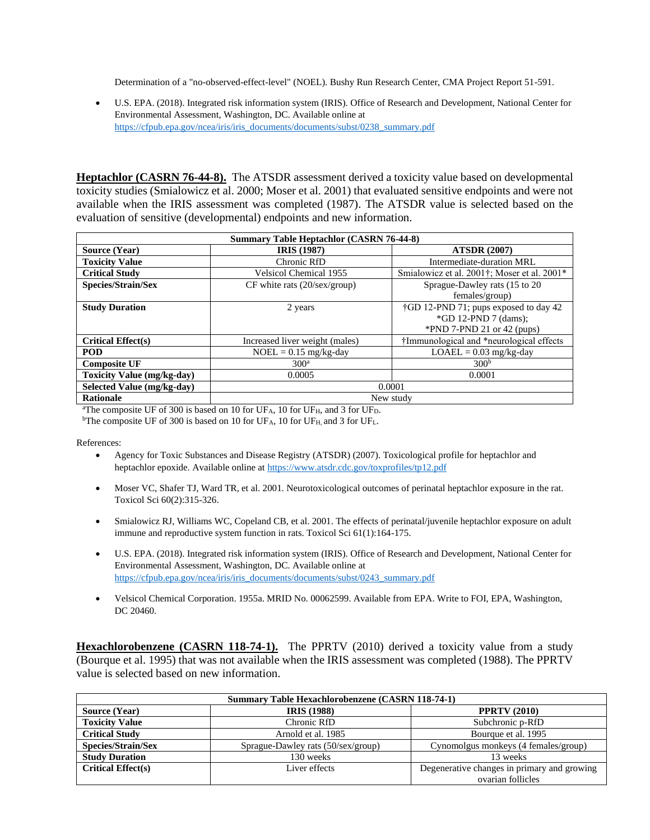Determination of a "no-observed-effect-level" (NOEL). Bushy Run Research Center, CMA Project Report 51-591.

• U.S. EPA. (2018). Integrated risk information system (IRIS). Office of Research and Development, National Center for Environmental Assessment, Washington, DC. Available online at [https://cfpub.epa.gov/ncea/iris/iris\\_documents/documents/subst/0238\\_summary.pdf](https://cfpub.epa.gov/ncea/iris/iris_documents/documents/subst/0238_summary.pdf)

**Heptachlor (CASRN 76-44-8).** The ATSDR assessment derived a toxicity value based on developmental toxicity studies (Smialowicz et al. 2000; Moser et al. 2001) that evaluated sensitive endpoints and were not available when the IRIS assessment was completed (1987). The ATSDR value is selected based on the evaluation of sensitive (developmental) endpoints and new information.

| <b>Summary Table Heptachlor (CASRN 76-44-8)</b> |                                         |                                             |  |
|-------------------------------------------------|-----------------------------------------|---------------------------------------------|--|
| Source (Year)                                   | <b>IRIS</b> (1987)                      | <b>ATSDR (2007)</b>                         |  |
| <b>Toxicity Value</b>                           | Chronic RfD                             | Intermediate-duration MRL                   |  |
| <b>Critical Study</b>                           | <b>Velsicol Chemical 1955</b>           | Smialowicz et al. 2001†; Moser et al. 2001* |  |
| Species/Strain/Sex                              | $CF$ white rats $(20/\text{sex/group})$ | Sprague-Dawley rats (15 to 20               |  |
|                                                 |                                         | females/group)                              |  |
| <b>Study Duration</b>                           | 2 years                                 | †GD 12-PND 71; pups exposed to day 42       |  |
|                                                 |                                         | $*GD$ 12-PND 7 (dams);                      |  |
|                                                 |                                         | *PND 7-PND 21 or 42 (pups)                  |  |
| <b>Critical Effect(s)</b>                       | Increased liver weight (males)          | †Immunological and *neurological effects    |  |
| <b>POD</b>                                      | $NOEL = 0.15$ mg/kg-day                 | $LOAEL = 0.03$ mg/kg-day                    |  |
| <b>Composite UF</b>                             | 300 <sup>a</sup>                        | 300 <sup>b</sup>                            |  |
| <b>Toxicity Value (mg/kg-day)</b>               | 0.0005                                  | 0.0001                                      |  |
| Selected Value (mg/kg-day)                      | 0.0001                                  |                                             |  |
| <b>Rationale</b>                                | New study                               |                                             |  |

<sup>a</sup>The composite UF of 300 is based on 10 for UF<sub>A</sub>, 10 for UF<sub>H</sub>, and 3 for UF<sub>D</sub>.

<sup>b</sup>The composite UF of 300 is based on 10 for UF<sub>A</sub>, 10 for UF<sub>H</sub>, and 3 for UF<sub>L</sub>.

References:

- Agency for Toxic Substances and Disease Registry (ATSDR) (2007). Toxicological profile for heptachlor and heptachlor epoxide. Available online at<https://www.atsdr.cdc.gov/toxprofiles/tp12.pdf>
- Moser VC, Shafer TJ, Ward TR, et al. 2001. Neurotoxicological outcomes of perinatal heptachlor exposure in the rat. Toxicol Sci 60(2):315-326.
- Smialowicz RJ, Williams WC, Copeland CB, et al. 2001. The effects of perinatal/juvenile heptachlor exposure on adult immune and reproductive system function in rats. Toxicol Sci 61(1):164-175.
- U.S. EPA. (2018). Integrated risk information system (IRIS). Office of Research and Development, National Center for Environmental Assessment, Washington, DC. Available online at [https://cfpub.epa.gov/ncea/iris/iris\\_documents/documents/subst/0243\\_summary.pdf](https://cfpub.epa.gov/ncea/iris/iris_documents/documents/subst/0243_summary.pdf)
- Velsicol Chemical Corporation. 1955a. MRID No. 00062599. Available from EPA. Write to FOI, EPA, Washington, DC 20460.

**Hexachlorobenzene (CASRN 118-74-1).** The PPRTV (2010) derived a toxicity value from a study (Bourque et al. 1995) that was not available when the IRIS assessment was completed (1988). The PPRTV value is selected based on new information.

| <b>Summary Table Hexachlorobenzene (CASRN 118-74-1)</b> |                                    |                                             |  |
|---------------------------------------------------------|------------------------------------|---------------------------------------------|--|
| <b>Source (Year)</b>                                    | <b>IRIS</b> (1988)                 | <b>PPRTV (2010)</b>                         |  |
| <b>Toxicity Value</b>                                   | Chronic RfD                        | Subchronic p-RfD                            |  |
| <b>Critical Study</b>                                   | Arnold et al. 1985                 | Bourque et al. 1995                         |  |
| Species/Strain/Sex                                      | Sprague-Dawley rats (50/sex/group) | Cynomolgus monkeys (4 females/group)        |  |
| <b>Study Duration</b>                                   | 130 weeks                          | 13 weeks                                    |  |
| <b>Critical Effect(s)</b>                               | Liver effects                      | Degenerative changes in primary and growing |  |
|                                                         |                                    | ovarian follicles                           |  |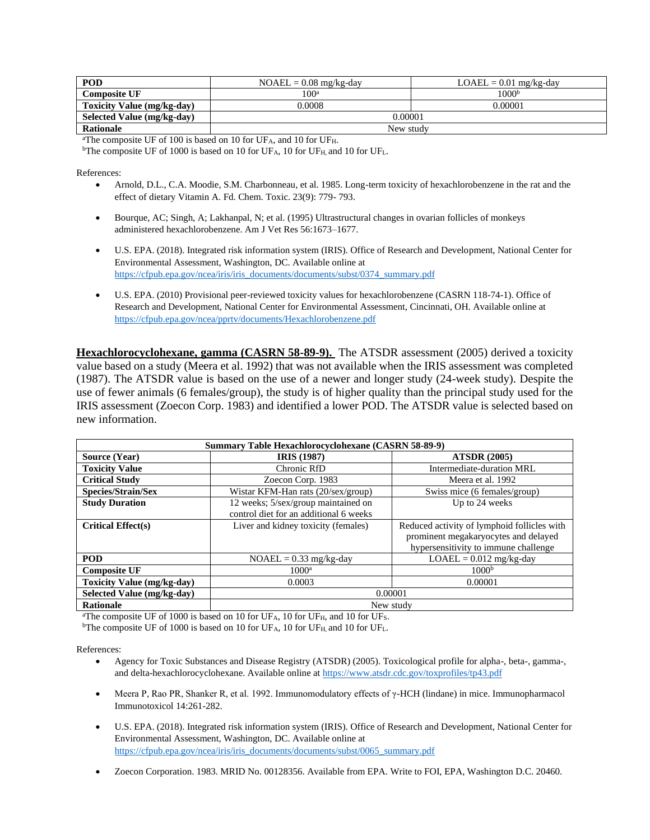| POD                               | $NOAEL = 0.08$ mg/kg-day | $LOAEL = 0.01$ mg/kg-day |
|-----------------------------------|--------------------------|--------------------------|
| <b>Composite UF</b>               | 100ª                     | 1000 <sup>b</sup>        |
| <b>Toxicity Value (mg/kg-day)</b> | 0.0008                   | 0.00001                  |
| Selected Value (mg/kg-day)        | 0.00001                  |                          |
| Rationale                         | New study                |                          |

<sup>a</sup>The composite UF of 100 is based on 10 for UF<sub>A</sub>, and 10 for UF<sub>H</sub>.

<sup>b</sup>The composite UF of 1000 is based on 10 for UF<sub>A</sub>, 10 for UF<sub>H</sub>, and 10 for UF<sub>L</sub>.

References:

- Arnold, D.L., C.A. Moodie, S.M. Charbonneau, et al. 1985. Long-term toxicity of hexachlorobenzene in the rat and the effect of dietary Vitamin A. Fd. Chem. Toxic. 23(9): 779- 793.
- Bourque, AC; Singh, A; Lakhanpal, N; et al. (1995) Ultrastructural changes in ovarian follicles of monkeys administered hexachlorobenzene. Am J Vet Res 56:1673–1677.
- U.S. EPA. (2018). Integrated risk information system (IRIS). Office of Research and Development, National Center for Environmental Assessment, Washington, DC. Available online at [https://cfpub.epa.gov/ncea/iris/iris\\_documents/documents/subst/0374\\_summary.pdf](https://cfpub.epa.gov/ncea/iris/iris_documents/documents/subst/0374_summary.pdf)
- U.S. EPA. (2010) Provisional peer-reviewed toxicity values for hexachlorobenzene (CASRN 118-74-1). Office of Research and Development, National Center for Environmental Assessment, Cincinnati, OH. Available online at <https://cfpub.epa.gov/ncea/pprtv/documents/Hexachlorobenzene.pdf>

**Hexachlorocyclohexane, gamma (CASRN 58-89-9).** The ATSDR assessment (2005) derived a toxicity value based on a study (Meera et al. 1992) that was not available when the IRIS assessment was completed (1987). The ATSDR value is based on the use of a newer and longer study (24-week study). Despite the use of fewer animals (6 females/group), the study is of higher quality than the principal study used for the IRIS assessment (Zoecon Corp. 1983) and identified a lower POD. The ATSDR value is selected based on new information.

| Summary Table Hexachlorocyclohexane (CASRN 58-89-9) |                                             |                                             |  |
|-----------------------------------------------------|---------------------------------------------|---------------------------------------------|--|
| Source (Year)                                       | <b>IRIS</b> (1987)                          | <b>ATSDR (2005)</b>                         |  |
| <b>Toxicity Value</b>                               | Chronic RfD                                 | Intermediate-duration MRL                   |  |
| <b>Critical Study</b>                               | Zoecon Corp. 1983                           | Meera et al. 1992                           |  |
| Species/Strain/Sex                                  | Wistar KFM-Han rats $(20/\text{sex/group})$ | Swiss mice (6 females/group)                |  |
| <b>Study Duration</b>                               | 12 weeks; 5/sex/group maintained on         | Up to 24 weeks                              |  |
|                                                     | control diet for an additional 6 weeks      |                                             |  |
| <b>Critical Effect(s)</b>                           | Liver and kidney toxicity (females)         | Reduced activity of lymphoid follicles with |  |
|                                                     |                                             | prominent megakaryocytes and delayed        |  |
|                                                     |                                             | hypersensitivity to immune challenge        |  |
| <b>POD</b>                                          | $NOAEL = 0.33$ mg/kg-day                    | $LOAEL = 0.012$ mg/kg-day                   |  |
| <b>Composite UF</b>                                 | $1000^a$                                    | 1000 <sup>b</sup>                           |  |
| <b>Toxicity Value (mg/kg-day)</b>                   | 0.0003                                      | 0.00001                                     |  |
| Selected Value (mg/kg-day)                          | 0.00001                                     |                                             |  |
| <b>Rationale</b>                                    | New study                                   |                                             |  |

<sup>a</sup>The composite UF of 1000 is based on 10 for UF<sub>A</sub>, 10 for UF<sub>H</sub>, and 10 for UF<sub>S</sub>.

<sup>b</sup>The composite UF of 1000 is based on 10 for UF<sub>A</sub>, 10 for UF<sub>H</sub>, and 10 for UF<sub>L</sub>.

- Agency for Toxic Substances and Disease Registry (ATSDR) (2005). Toxicological profile for alpha-, beta-, gamma-, and delta-hexachlorocyclohexane. Available online at<https://www.atsdr.cdc.gov/toxprofiles/tp43.pdf>
- Meera P, Rao PR, Shanker R, et al. 1992. Immunomodulatory effects of γ-HCH (lindane) in mice. Immunopharmacol Immunotoxicol 14:261-282.
- U.S. EPA. (2018). Integrated risk information system (IRIS). Office of Research and Development, National Center for Environmental Assessment, Washington, DC. Available online at [https://cfpub.epa.gov/ncea/iris/iris\\_documents/documents/subst/0065\\_summary.pdf](https://cfpub.epa.gov/ncea/iris/iris_documents/documents/subst/0065_summary.pdf)
- Zoecon Corporation. 1983. MRID No. 00128356. Available from EPA. Write to FOI, EPA, Washington D.C. 20460.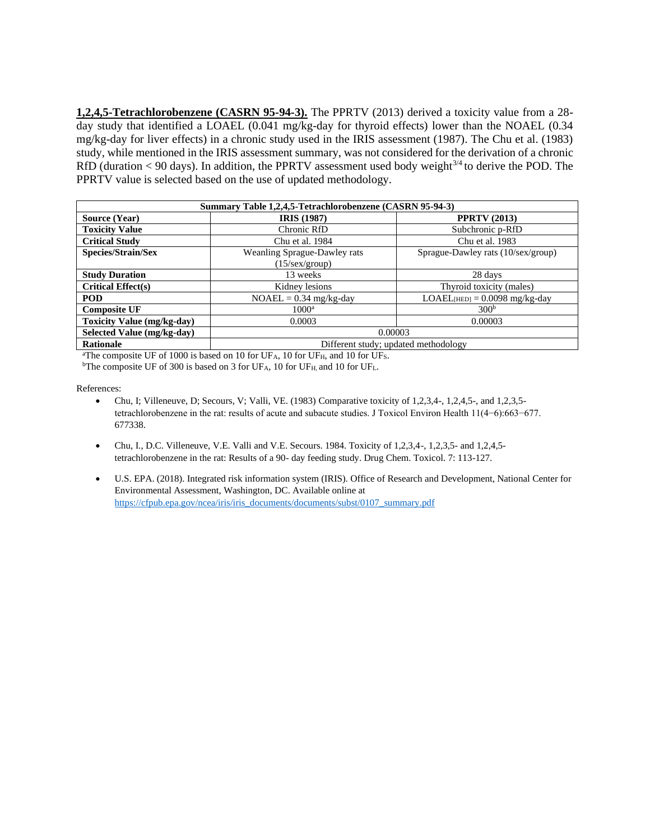**1,2,4,5-Tetrachlorobenzene (CASRN 95-94-3).** The PPRTV (2013) derived a toxicity value from a 28 day study that identified a LOAEL (0.041 mg/kg-day for thyroid effects) lower than the NOAEL (0.34 mg/kg-day for liver effects) in a chronic study used in the IRIS assessment (1987). The Chu et al. (1983) study, while mentioned in the IRIS assessment summary, was not considered for the derivation of a chronic RfD (duration  $<$  90 days). In addition, the PPRTV assessment used body weight $^{3/4}$  to derive the POD. The PPRTV value is selected based on the use of updated methodology.

| Summary Table 1,2,4,5-Tetrachlorobenzene (CASRN 95-94-3) |                                      |                                    |
|----------------------------------------------------------|--------------------------------------|------------------------------------|
| <b>Source (Year)</b>                                     | <b>IRIS</b> (1987)                   | <b>PPRTV (2013)</b>                |
| <b>Toxicity Value</b>                                    | Chronic RfD                          | Subchronic p-RfD                   |
| <b>Critical Study</b>                                    | Chu et al. 1984                      | Chu et al. 1983                    |
| Species/Strain/Sex                                       | Weanling Sprague-Dawley rats         | Sprague-Dawley rats (10/sex/group) |
|                                                          | $(15/\text{sex/group})$              |                                    |
| <b>Study Duration</b>                                    | 13 weeks                             | 28 days                            |
| <b>Critical Effect(s)</b>                                | Kidney lesions                       | Thyroid toxicity (males)           |
| <b>POD</b>                                               | $NOAEL = 0.34$ mg/kg-day             | $LOAEL$ [HED] = 0.0098 mg/kg-day   |
| <b>Composite UF</b>                                      | $1000^a$                             | 300 <sup>b</sup>                   |
| <b>Toxicity Value (mg/kg-day)</b>                        | 0.0003                               | 0.00003                            |
| Selected Value (mg/kg-day)                               | 0.00003                              |                                    |
| <b>Rationale</b>                                         | Different study; updated methodology |                                    |

<sup>a</sup>The composite UF of 1000 is based on 10 for UF<sub>A</sub>, 10 for UF<sub>H</sub>, and 10 for UF<sub>S</sub>.

bThe composite UF of 300 is based on 3 for UFA, 10 for UF<sub>H</sub>, and 10 for UF<sub>L</sub>.

- Chu, I; Villeneuve, D; Secours, V; Valli, VE. (1983) Comparative toxicity of 1,2,3,4-, 1,2,4,5-, and 1,2,3,5tetrachlorobenzene in the rat: results of acute and subacute studies. J Toxicol Environ Health 11(4−6):663−677. 677338.
- Chu, I., D.C. Villeneuve, V.E. Valli and V.E. Secours. 1984. Toxicity of 1,2,3,4-, 1,2,3,5- and 1,2,4,5tetrachlorobenzene in the rat: Results of a 90- day feeding study. Drug Chem. Toxicol. 7: 113-127.
- U.S. EPA. (2018). Integrated risk information system (IRIS). Office of Research and Development, National Center for Environmental Assessment, Washington, DC. Available online at [https://cfpub.epa.gov/ncea/iris/iris\\_documents/documents/subst/0107\\_summary.pdf](https://cfpub.epa.gov/ncea/iris/iris_documents/documents/subst/0107_summary.pdf)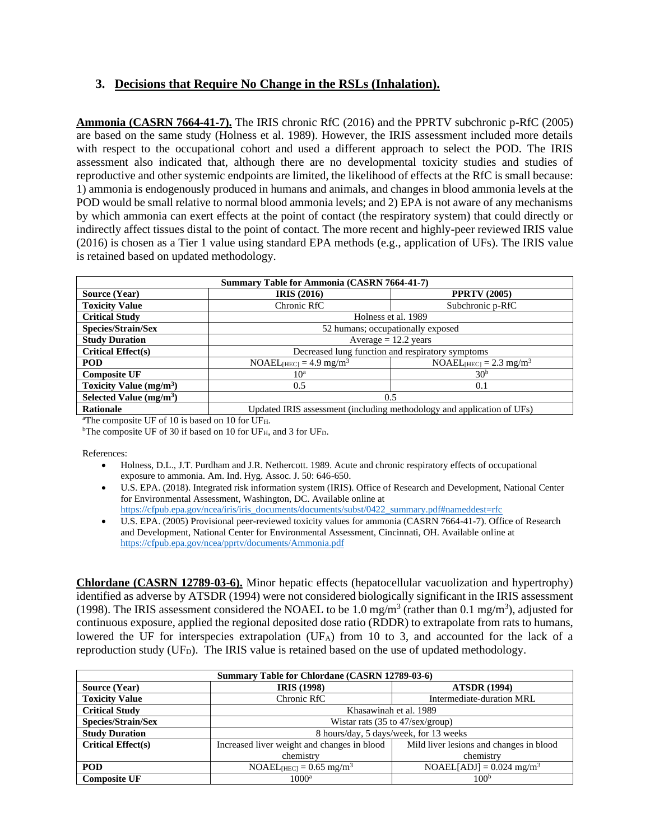# **3. Decisions that Require No Change in the RSLs (Inhalation).**

**Ammonia (CASRN 7664-41-7).** The IRIS chronic RfC (2016) and the PPRTV subchronic p-RfC (2005) are based on the same study (Holness et al. 1989). However, the IRIS assessment included more details with respect to the occupational cohort and used a different approach to select the POD. The IRIS assessment also indicated that, although there are no developmental toxicity studies and studies of reproductive and other systemic endpoints are limited, the likelihood of effects at the RfC is small because: 1) ammonia is endogenously produced in humans and animals, and changes in blood ammonia levels at the POD would be small relative to normal blood ammonia levels; and 2) EPA is not aware of any mechanisms by which ammonia can exert effects at the point of contact (the respiratory system) that could directly or indirectly affect tissues distal to the point of contact. The more recent and highly-peer reviewed IRIS value (2016) is chosen as a Tier 1 value using standard EPA methods (e.g., application of UFs). The IRIS value is retained based on updated methodology.

| Summary Table for Ammonia (CASRN 7664-41-7) |                                                                        |                          |
|---------------------------------------------|------------------------------------------------------------------------|--------------------------|
| Source (Year)                               | <b>IRIS</b> (2016)                                                     | <b>PPRTV (2005)</b>      |
| <b>Toxicity Value</b>                       | Chronic RfC                                                            | Subchronic p-RfC         |
| <b>Critical Study</b>                       | Holness et al. 1989                                                    |                          |
| <b>Species/Strain/Sex</b>                   | 52 humans; occupationally exposed                                      |                          |
| <b>Study Duration</b>                       | Average $= 12.2$ years                                                 |                          |
| <b>Critical Effect(s)</b>                   | Decreased lung function and respiratory symptoms                       |                          |
| <b>POD</b>                                  | $NOAEL[HEC] = 4.9 mg/m3$                                               | $NOAEL[HEC] = 2.3 mg/m3$ |
| <b>Composite UF</b>                         | 10 <sup>a</sup>                                                        | 30 <sup>b</sup>          |
| Toxicity Value $(mg/m3)$                    | 0.5                                                                    | 0.1                      |
| Selected Value $(mg/m3)$                    | 0.5                                                                    |                          |
| <b>Rationale</b>                            | Updated IRIS assessment (including methodology and application of UFs) |                          |

<sup>a</sup>The composite UF of 10 is based on 10 for UFH.

<sup>b</sup>The composite UF of 30 if based on 10 for UF $_{\text{H}}$ , and 3 for UF<sub>D</sub>.

References:

- Holness, D.L., J.T. Purdham and J.R. Nethercott. 1989. Acute and chronic respiratory effects of occupational exposure to ammonia. Am. Ind. Hyg. Assoc. J. 50: 646-650.
- U.S. EPA. (2018). Integrated risk information system (IRIS). Office of Research and Development, National Center for Environmental Assessment, Washington, DC. Available online at [https://cfpub.epa.gov/ncea/iris/iris\\_documents/documents/subst/0422\\_summary.pdf#nameddest=rfc](https://cfpub.epa.gov/ncea/iris/iris_documents/documents/subst/0422_summary.pdf#nameddest=rfc)
- U.S. EPA. (2005) Provisional peer-reviewed toxicity values for ammonia (CASRN 7664-41-7). Office of Research and Development, National Center for Environmental Assessment, Cincinnati, OH. Available online at <https://cfpub.epa.gov/ncea/pprtv/documents/Ammonia.pdf>

**Chlordane (CASRN 12789-03-6).** Minor hepatic effects (hepatocellular vacuolization and hypertrophy) identified as adverse by ATSDR (1994) were not considered biologically significant in the IRIS assessment (1998). The IRIS assessment considered the NOAEL to be 1.0 mg/m<sup>3</sup> (rather than 0.1 mg/m<sup>3</sup>), adjusted for continuous exposure, applied the regional deposited dose ratio (RDDR) to extrapolate from rats to humans, lowered the UF for interspecies extrapolation (UF<sub>A</sub>) from 10 to 3, and accounted for the lack of a reproduction study  $(UF<sub>D</sub>)$ . The IRIS value is retained based on the use of updated methodology.

| Summary Table for Chlordane (CASRN 12789-03-6) |                                                    |                                         |
|------------------------------------------------|----------------------------------------------------|-----------------------------------------|
| <b>Source (Year)</b>                           | <b>IRIS</b> (1998)                                 | <b>ATSDR (1994)</b>                     |
| <b>Toxicity Value</b>                          | Chronic RfC                                        | Intermediate-duration MRL               |
| <b>Critical Study</b>                          |                                                    | Khasawinah et al. 1989                  |
| Species/Strain/Sex                             | Wistar rats $(35 \text{ to } 47/\text{sex/group})$ |                                         |
| <b>Study Duration</b>                          | 8 hours/day, 5 days/week, for 13 weeks             |                                         |
| <b>Critical Effect(s)</b>                      | Increased liver weight and changes in blood        | Mild liver lesions and changes in blood |
|                                                | chemistry                                          | chemistry                               |
| <b>POD</b>                                     | $NOAEL$ [HEC] = 0.65 mg/m <sup>3</sup>             | $NOAEL[ADJ] = 0.024$ mg/m <sup>3</sup>  |
| <b>Composite UF</b>                            | $1000^a$                                           | 100 <sup>b</sup>                        |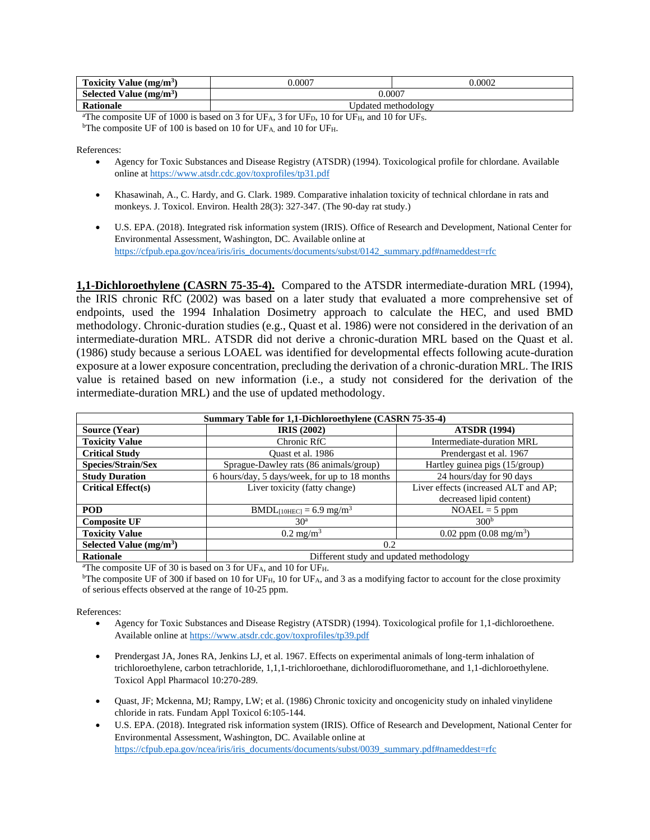| Toxicity Value $(mg/m3)$ | 0.0007              | 0.0002 |
|--------------------------|---------------------|--------|
| Selected Value $(mg/m3)$ |                     | ).0007 |
| <b>Rationale</b>         | Updated methodology |        |

<sup>a</sup>The composite UF of 1000 is based on 3 for UF<sub>A</sub>, 3 for UF<sub>D</sub>, 10 for UF<sub>H</sub>, and 10 for UF<sub>S</sub>. <sup>b</sup>The composite UF of 100 is based on 10 for UF<sub>A</sub>, and 10 for UF<sub>H</sub>.

References:

- Agency for Toxic Substances and Disease Registry (ATSDR) (1994). Toxicological profile for chlordane. Available online a[t https://www.atsdr.cdc.gov/toxprofiles/tp31.pdf](https://www.atsdr.cdc.gov/toxprofiles/tp31.pdf)
- Khasawinah, A., C. Hardy, and G. Clark. 1989. Comparative inhalation toxicity of technical chlordane in rats and monkeys. J. Toxicol. Environ. Health 28(3): 327-347. (The 90-day rat study.)
- U.S. EPA. (2018). Integrated risk information system (IRIS). Office of Research and Development, National Center for Environmental Assessment, Washington, DC. Available online at [https://cfpub.epa.gov/ncea/iris/iris\\_documents/documents/subst/0142\\_summary.pdf#nameddest=rfc](https://cfpub.epa.gov/ncea/iris/iris_documents/documents/subst/0142_summary.pdf#nameddest=rfc)

**1,1-Dichloroethylene (CASRN 75-35-4).** Compared to the ATSDR intermediate-duration MRL (1994), the IRIS chronic RfC (2002) was based on a later study that evaluated a more comprehensive set of endpoints, used the 1994 Inhalation Dosimetry approach to calculate the HEC, and used BMD methodology. Chronic-duration studies (e.g., Quast et al. 1986) were not considered in the derivation of an intermediate-duration MRL. ATSDR did not derive a chronic-duration MRL based on the Quast et al. (1986) study because a serious LOAEL was identified for developmental effects following acute-duration exposure at a lower exposure concentration, precluding the derivation of a chronic-duration MRL. The IRIS value is retained based on new information (i.e., a study not considered for the derivation of the intermediate-duration MRL) and the use of updated methodology.

| Summary Table for 1,1-Dichloroethylene (CASRN 75-35-4) |                                               |                                      |
|--------------------------------------------------------|-----------------------------------------------|--------------------------------------|
| <b>Source (Year)</b>                                   | <b>IRIS</b> (2002)                            | <b>ATSDR (1994)</b>                  |
| <b>Toxicity Value</b>                                  | Chronic RfC                                   | Intermediate-duration MRL            |
| <b>Critical Study</b>                                  | Ouast et al. 1986                             | Prendergast et al. 1967              |
| Species/Strain/Sex                                     | Sprague-Dawley rats (86 animals/group)        | Hartley guinea pigs (15/group)       |
| <b>Study Duration</b>                                  | 6 hours/day, 5 days/week, for up to 18 months | 24 hours/day for 90 days             |
| <b>Critical Effect(s)</b>                              | Liver toxicity (fatty change)                 | Liver effects (increased ALT and AP; |
|                                                        |                                               | decreased lipid content)             |
| <b>POD</b>                                             | $BMDL_{[10HEC]} = 6.9$ mg/m <sup>3</sup>      | $NOAEL = 5$ ppm                      |
| <b>Composite UF</b>                                    | 30 <sup>a</sup>                               | 300 <sup>b</sup>                     |
| <b>Toxicity Value</b>                                  | $0.2 \text{ mg/m}^3$                          | 0.02 ppm $(0.08 \text{ mg/m}^3)$     |
| Selected Value $(mg/m3)$                               | 0.2                                           |                                      |
| <b>Rationale</b>                                       | Different study and updated methodology       |                                      |

<sup>a</sup>The composite UF of 30 is based on 3 for UFA, and 10 for UFH.

<sup>b</sup>The composite UF of 300 if based on 10 for UF<sub>H</sub>, 10 for UF<sub>A</sub>, and 3 as a modifying factor to account for the close proximity of serious effects observed at the range of 10-25 ppm.

- Agency for Toxic Substances and Disease Registry (ATSDR) (1994). Toxicological profile for 1,1-dichloroethene. Available online a[t https://www.atsdr.cdc.gov/toxprofiles/tp39.pdf](https://www.atsdr.cdc.gov/toxprofiles/tp39.pdf)
- Prendergast JA, Jones RA, Jenkins LJ, et al. 1967. Effects on experimental animals of long-term inhalation of trichloroethylene, carbon tetrachloride, 1,1,1-trichloroethane, dichlorodifluoromethane, and 1,1-dichloroethylene. Toxicol Appl Pharmacol 10:270-289.
- Quast, JF; Mckenna, MJ; Rampy, LW; et al. (1986) Chronic toxicity and oncogenicity study on inhaled vinylidene chloride in rats. Fundam Appl Toxicol 6:105-144.
- U.S. EPA. (2018). Integrated risk information system (IRIS). Office of Research and Development, National Center for Environmental Assessment, Washington, DC. Available online at [https://cfpub.epa.gov/ncea/iris/iris\\_documents/documents/subst/0039\\_summary.pdf#nameddest=rfc](https://cfpub.epa.gov/ncea/iris/iris_documents/documents/subst/0039_summary.pdf#nameddest=rfc)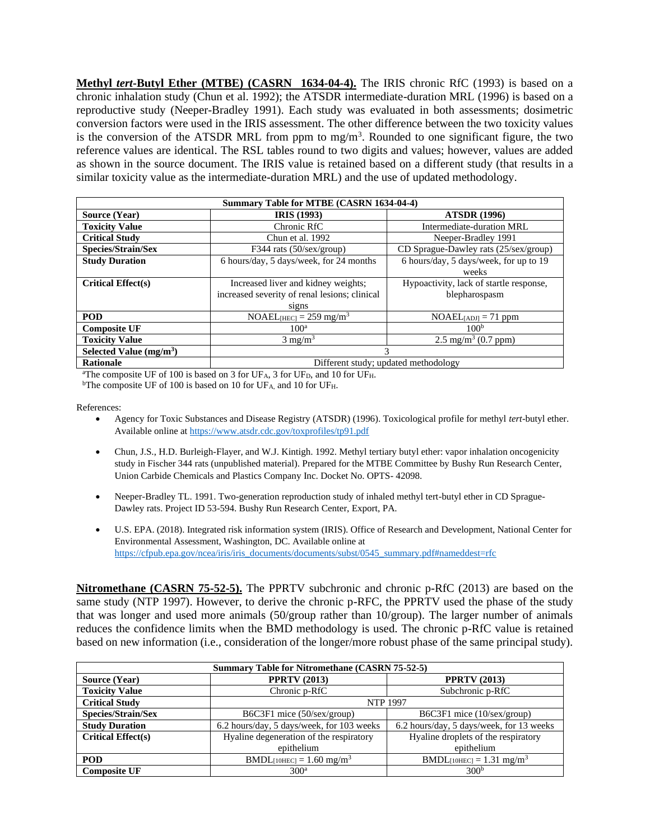**Methyl** *tert***-Butyl Ether (MTBE) (CASRN 1634-04-4).** The IRIS chronic RfC (1993) is based on a chronic inhalation study (Chun et al. 1992); the ATSDR intermediate-duration MRL (1996) is based on a reproductive study (Neeper-Bradley 1991). Each study was evaluated in both assessments; dosimetric conversion factors were used in the IRIS assessment. The other difference between the two toxicity values is the conversion of the ATSDR MRL from ppm to  $mg/m<sup>3</sup>$ . Rounded to one significant figure, the two reference values are identical. The RSL tables round to two digits and values; however, values are added as shown in the source document. The IRIS value is retained based on a different study (that results in a similar toxicity value as the intermediate-duration MRL) and the use of updated methodology.

| <b>Summary Table for MTBE (CASRN 1634-04-4)</b> |                                               |                                         |
|-------------------------------------------------|-----------------------------------------------|-----------------------------------------|
| Source (Year)                                   | <b>IRIS</b> (1993)                            | <b>ATSDR (1996)</b>                     |
| <b>Toxicity Value</b>                           | Chronic RfC                                   | Intermediate-duration MRL               |
| <b>Critical Study</b>                           | Chun et al. 1992                              | Neeper-Bradley 1991                     |
| Species/Strain/Sex                              | F344 rats $(50/\text{sex/group})$             | CD Sprague-Dawley rats (25/sex/group)   |
| <b>Study Duration</b>                           | 6 hours/day, 5 days/week, for 24 months       | 6 hours/day, 5 days/week, for up to 19  |
|                                                 |                                               | weeks                                   |
| <b>Critical Effect(s)</b>                       | Increased liver and kidney weights;           | Hypoactivity, lack of startle response, |
|                                                 | increased severity of renal lesions; clinical | blepharospasm                           |
|                                                 | signs                                         |                                         |
| <b>POD</b>                                      | $NOAEL_{[HEC]} = 259$ mg/m <sup>3</sup>       | $NOAEL[ADJ] = 71 ppm$                   |
| <b>Composite UF</b>                             | 100 <sup>a</sup>                              | 100 <sup>b</sup>                        |
| <b>Toxicity Value</b>                           | $3 \text{ mg/m}^3$                            | $2.5 \text{ mg/m}^3$ (0.7 ppm)          |
| Selected Value $(mg/m3)$                        | 3                                             |                                         |
| <b>Rationale</b>                                | Different study; updated methodology          |                                         |

<sup>a</sup>The composite UF of 100 is based on 3 for UF<sub>A</sub>, 3 for UF<sub>D</sub>, and 10 for UF<sub>H</sub>.

<sup>b</sup>The composite UF of 100 is based on 10 for UFA, and 10 for UFH.

References:

- Agency for Toxic Substances and Disease Registry (ATSDR) (1996). Toxicological profile for methyl *tert*-butyl ether. Available online a[t https://www.atsdr.cdc.gov/toxprofiles/tp91.pdf](https://www.atsdr.cdc.gov/toxprofiles/tp91.pdf)
- Chun, J.S., H.D. Burleigh-Flayer, and W.J. Kintigh. 1992. Methyl tertiary butyl ether: vapor inhalation oncogenicity study in Fischer 344 rats (unpublished material). Prepared for the MTBE Committee by Bushy Run Research Center, Union Carbide Chemicals and Plastics Company Inc. Docket No. OPTS- 42098.
- Neeper-Bradley TL. 1991. Two-generation reproduction study of inhaled methyl tert-butyl ether in CD Sprague-Dawley rats. Project ID 53-594. Bushy Run Research Center, Export, PA.
- U.S. EPA. (2018). Integrated risk information system (IRIS). Office of Research and Development, National Center for Environmental Assessment, Washington, DC. Available online at [https://cfpub.epa.gov/ncea/iris/iris\\_documents/documents/subst/0545\\_summary.pdf#nameddest=rfc](https://cfpub.epa.gov/ncea/iris/iris_documents/documents/subst/0545_summary.pdf#nameddest=rfc)

**Nitromethane (CASRN 75-52-5).** The PPRTV subchronic and chronic p-RfC (2013) are based on the same study (NTP 1997). However, to derive the chronic p-RFC, the PPRTV used the phase of the study that was longer and used more animals  $(50/\text{group rather than } 10/\text{group})$ . The larger number of animals reduces the confidence limits when the BMD methodology is used. The chronic p-RfC value is retained based on new information (i.e., consideration of the longer/more robust phase of the same principal study).

| <b>Summary Table for Nitromethane (CASRN 75-52-5)</b> |                                           |                                           |
|-------------------------------------------------------|-------------------------------------------|-------------------------------------------|
| Source (Year)                                         | <b>PPRTV (2013)</b>                       | <b>PPRTV (2013)</b>                       |
| <b>Toxicity Value</b>                                 | Chronic p-RfC                             | Subchronic p-RfC                          |
| <b>Critical Study</b>                                 | <b>NTP 1997</b>                           |                                           |
| <b>Species/Strain/Sex</b>                             | B6C3F1 mice (50/sex/group)                | B6C3F1 mice $(10/\text{sex/group})$       |
| <b>Study Duration</b>                                 | 6.2 hours/day, 5 days/week, for 103 weeks | 6.2 hours/day, 5 days/week, for 13 weeks  |
| <b>Critical Effect(s)</b>                             | Hyaline degeneration of the respiratory   | Hyaline droplets of the respiratory       |
|                                                       | epithelium                                | epithelium                                |
| <b>POD</b>                                            | $BMDL_{[10HEC]} = 1.60$ mg/m <sup>3</sup> | $BMDL_{[10HEC]} = 1.31$ mg/m <sup>3</sup> |
| <b>Composite UF</b>                                   | 300 <sup>a</sup>                          | 300 <sup>b</sup>                          |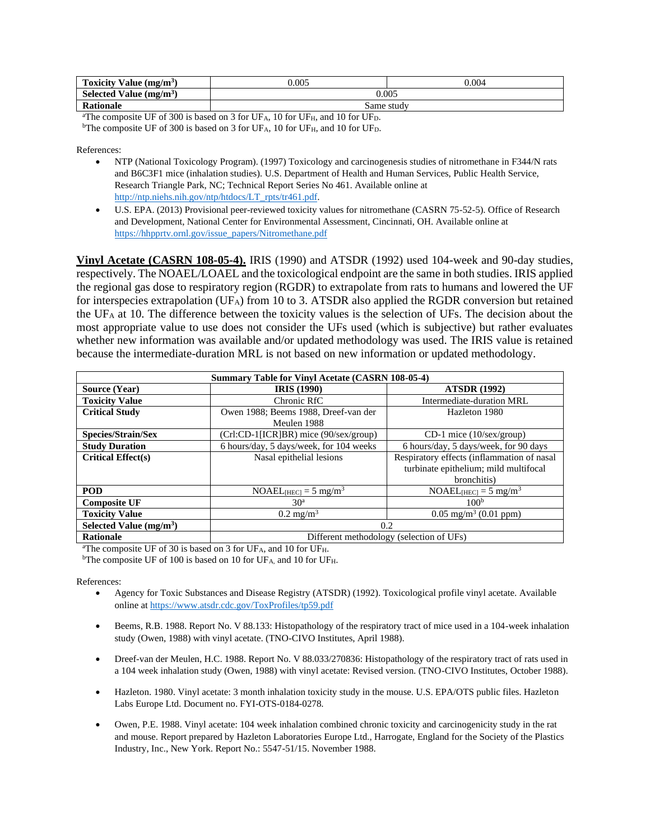| $\mathbf{v}$<br><b>Toxicity</b> V<br>Value (mg/m <sup>3</sup> ) | $0.005\,$  | 0.004 |
|-----------------------------------------------------------------|------------|-------|
| Selected Value $(mg/m3)$                                        | $0.005\,$  |       |
| <b>Rationale</b>                                                | Same study |       |

<sup>a</sup>The composite UF of 300 is based on 3 for UF<sub>A</sub>, 10 for UF<sub>H</sub>, and 10 for UF<sub>D</sub>.

<sup>b</sup>The composite UF of 300 is based on 3 for UF<sub>A</sub>, 10 for UF<sub>H</sub>, and 10 for UF<sub>D</sub>.

References:

- NTP (National Toxicology Program). (1997) Toxicology and carcinogenesis studies of nitromethane in F344/N rats and B6C3F1 mice (inhalation studies). U.S. Department of Health and Human Services, Public Health Service, Research Triangle Park, NC; Technical Report Series No 461. Available online at [http://ntp.niehs.nih.gov/ntp/htdocs/LT\\_rpts/tr461.pdf.](http://ntp.niehs.nih.gov/ntp/htdocs/LT_rpts/tr461.pdf)
- U.S. EPA. (2013) Provisional peer-reviewed toxicity values for nitromethane (CASRN 75-52-5). Office of Research and Development, National Center for Environmental Assessment, Cincinnati, OH. Available online at [https://hhpprtv.ornl.gov/issue\\_papers/Nitromethane.pdf](https://hhpprtv.ornl.gov/issue_papers/Nitromethane.pdf)

**Vinyl Acetate (CASRN 108-05-4).** IRIS (1990) and ATSDR (1992) used 104-week and 90-day studies, respectively. The NOAEL/LOAEL and the toxicological endpoint are the same in both studies. IRIS applied the regional gas dose to respiratory region (RGDR) to extrapolate from rats to humans and lowered the UF for interspecies extrapolation (UF<sub>A</sub>) from 10 to 3. ATSDR also applied the RGDR conversion but retained the UF<sup>A</sup> at 10. The difference between the toxicity values is the selection of UFs. The decision about the most appropriate value to use does not consider the UFs used (which is subjective) but rather evaluates whether new information was available and/or updated methodology was used. The IRIS value is retained because the intermediate-duration MRL is not based on new information or updated methodology.

| <b>Summary Table for Vinyl Acetate (CASRN 108-05-4)</b> |                                         |                                            |
|---------------------------------------------------------|-----------------------------------------|--------------------------------------------|
| Source (Year)                                           | <b>IRIS</b> (1990)                      | <b>ATSDR (1992)</b>                        |
| <b>Toxicity Value</b>                                   | Chronic RfC                             | Intermediate-duration MRL                  |
| <b>Critical Study</b>                                   | Owen 1988; Beems 1988, Dreef-van der    | Hazleton 1980                              |
|                                                         | Meulen 1988                             |                                            |
| Species/Strain/Sex                                      | (Crl:CD-1[ICR]BR) mice (90/sex/group)   | $CD-1$ mice $(10/\text{sex/group})$        |
| <b>Study Duration</b>                                   | 6 hours/day, 5 days/week, for 104 weeks | 6 hours/day, 5 days/week, for 90 days      |
| <b>Critical Effect(s)</b>                               | Nasal epithelial lesions                | Respiratory effects (inflammation of nasal |
|                                                         |                                         | turbinate epithelium; mild multifocal      |
|                                                         |                                         | bronchitis)                                |
| <b>POD</b>                                              | $NOAEL_{[HEC]} = 5$ mg/m <sup>3</sup>   | $NOAEL[HEC] = 5 mg/m3$                     |
| <b>Composite UF</b>                                     | 30 <sup>a</sup>                         | 100 <sup>b</sup>                           |
| <b>Toxicity Value</b>                                   | $0.2 \text{ mg/m}^3$                    | $0.05 \text{ mg/m}^3$ (0.01 ppm)           |
| Selected Value $(mg/m3)$                                |                                         | 0.2                                        |
| <b>Rationale</b>                                        |                                         | Different methodology (selection of UFs)   |

<sup>a</sup>The composite UF of 30 is based on 3 for UF<sub>A</sub>, and 10 for UF<sub>H</sub>.

<sup>b</sup>The composite UF of 100 is based on 10 for UF<sub>A</sub>, and 10 for UF<sub>H</sub>.

- Agency for Toxic Substances and Disease Registry (ATSDR) (1992). Toxicological profile vinyl acetate. Available online a[t https://www.atsdr.cdc.gov/ToxProfiles/tp59.pdf](https://www.atsdr.cdc.gov/ToxProfiles/tp59.pdf)
- Beems, R.B. 1988. Report No. V 88.133: Histopathology of the respiratory tract of mice used in a 104-week inhalation study (Owen, 1988) with vinyl acetate. (TNO-CIVO Institutes, April 1988).
- Dreef-van der Meulen, H.C. 1988. Report No. V 88.033/270836: Histopathology of the respiratory tract of rats used in a 104 week inhalation study (Owen, 1988) with vinyl acetate: Revised version. (TNO-CIVO Institutes, October 1988).
- Hazleton. 1980. Vinyl acetate: 3 month inhalation toxicity study in the mouse. U.S. EPA/OTS public files. Hazleton Labs Europe Ltd. Document no. FYI-OTS-0184-0278.
- Owen, P.E. 1988. Vinyl acetate: 104 week inhalation combined chronic toxicity and carcinogenicity study in the rat and mouse. Report prepared by Hazleton Laboratories Europe Ltd., Harrogate, England for the Society of the Plastics Industry, Inc., New York. Report No.: 5547-51/15. November 1988.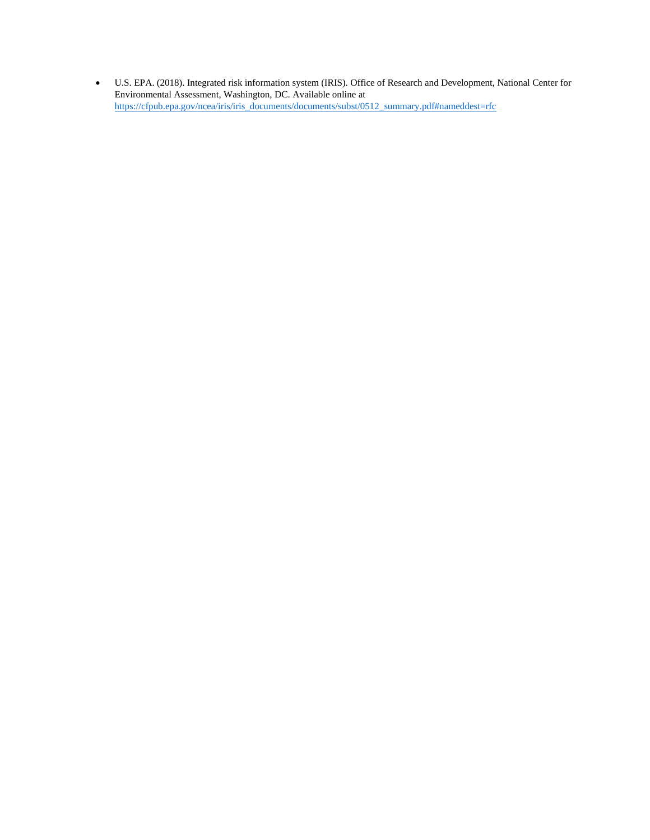• U.S. EPA. (2018). Integrated risk information system (IRIS). Office of Research and Development, National Center for Environmental Assessment, Washington, DC. Available online at [https://cfpub.epa.gov/ncea/iris/iris\\_documents/documents/subst/0512\\_summary.pdf#nameddest=rfc](https://cfpub.epa.gov/ncea/iris/iris_documents/documents/subst/0512_summary.pdf#nameddest=rfc)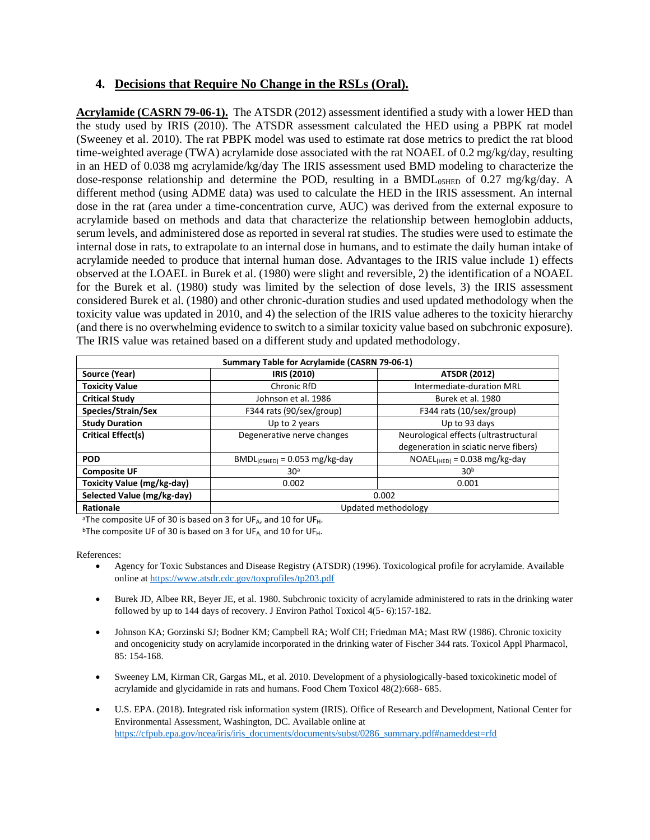#### **4. Decisions that Require No Change in the RSLs (Oral).**

**Acrylamide (CASRN 79-06-1).** The ATSDR (2012) assessment identified a study with a lower HED than the study used by IRIS (2010). The ATSDR assessment calculated the HED using a PBPK rat model (Sweeney et al. 2010). The rat PBPK model was used to estimate rat dose metrics to predict the rat blood time-weighted average (TWA) acrylamide dose associated with the rat NOAEL of 0.2 mg/kg/day, resulting in an HED of 0.038 mg acrylamide/kg/day The IRIS assessment used BMD modeling to characterize the dose-response relationship and determine the POD, resulting in a  $BMDL_{05HED}$  of 0.27 mg/kg/day. A different method (using ADME data) was used to calculate the HED in the IRIS assessment. An internal dose in the rat (area under a time-concentration curve, AUC) was derived from the external exposure to acrylamide based on methods and data that characterize the relationship between hemoglobin adducts, serum levels, and administered dose as reported in several rat studies. The studies were used to estimate the internal dose in rats, to extrapolate to an internal dose in humans, and to estimate the daily human intake of acrylamide needed to produce that internal human dose. Advantages to the IRIS value include 1) effects observed at the LOAEL in Burek et al. (1980) were slight and reversible, 2) the identification of a NOAEL for the Burek et al. (1980) study was limited by the selection of dose levels, 3) the IRIS assessment considered Burek et al. (1980) and other chronic-duration studies and used updated methodology when the toxicity value was updated in 2010, and 4) the selection of the IRIS value adheres to the toxicity hierarchy (and there is no overwhelming evidence to switch to a similar toxicity value based on subchronic exposure). The IRIS value was retained based on a different study and updated methodology.

| Summary Table for Acrylamide (CASRN 79-06-1) |                                     |                                       |
|----------------------------------------------|-------------------------------------|---------------------------------------|
| Source (Year)                                | IRIS (2010)                         | <b>ATSDR (2012)</b>                   |
| <b>Toxicity Value</b>                        | Chronic RfD                         | Intermediate-duration MRL             |
| <b>Critical Study</b>                        | Johnson et al. 1986                 | Burek et al. 1980                     |
| Species/Strain/Sex                           | F344 rats (90/sex/group)            | F344 rats (10/sex/group)              |
| <b>Study Duration</b>                        | Up to 2 years                       | Up to 93 days                         |
| <b>Critical Effect(s)</b>                    | Degenerative nerve changes          | Neurological effects (ultrastructural |
|                                              |                                     | degeneration in sciatic nerve fibers) |
| <b>POD</b>                                   | $BMDL_{[O5HED]} = 0.053 mg/kg$ -day | $NOAEL[HED] = 0.038 mg/kg-day$        |
| <b>Composite UF</b>                          | 30 <sup>a</sup>                     | 30 <sup>b</sup>                       |
| Toxicity Value (mg/kg-day)                   | 0.002                               | 0.001                                 |
| Selected Value (mg/kg-day)                   | 0.002                               |                                       |
| Rationale                                    | Updated methodology                 |                                       |

<sup>a</sup>The composite UF of 30 is based on 3 for UF<sub>A</sub>, and 10 for UF<sub>H</sub>.

<sup>b</sup>The composite UF of 30 is based on 3 for UF<sub>A</sub>, and 10 for UF<sub>H</sub>.

- Agency for Toxic Substances and Disease Registry (ATSDR) (1996). Toxicological profile for acrylamide. Available online a[t https://www.atsdr.cdc.gov/toxprofiles/tp203.pdf](https://www.atsdr.cdc.gov/toxprofiles/tp203.pdf)
- Burek JD, Albee RR, Beyer JE, et al. 1980. Subchronic toxicity of acrylamide administered to rats in the drinking water followed by up to 144 days of recovery. J Environ Pathol Toxicol 4(5- 6):157-182.
- Johnson KA; Gorzinski SJ; Bodner KM; Campbell RA; Wolf CH; Friedman MA; Mast RW (1986). Chronic toxicity and oncogenicity study on acrylamide incorporated in the drinking water of Fischer 344 rats. Toxicol Appl Pharmacol, 85: 154-168.
- Sweeney LM, Kirman CR, Gargas ML, et al. 2010. Development of a physiologically-based toxicokinetic model of acrylamide and glycidamide in rats and humans. Food Chem Toxicol 48(2):668- 685.
- U.S. EPA. (2018). Integrated risk information system (IRIS). Office of Research and Development, National Center for Environmental Assessment, Washington, DC. Available online at [https://cfpub.epa.gov/ncea/iris/iris\\_documents/documents/subst/0286\\_summary.pdf#nameddest=rfd](https://cfpub.epa.gov/ncea/iris/iris_documents/documents/subst/0286_summary.pdf#nameddest=rfd)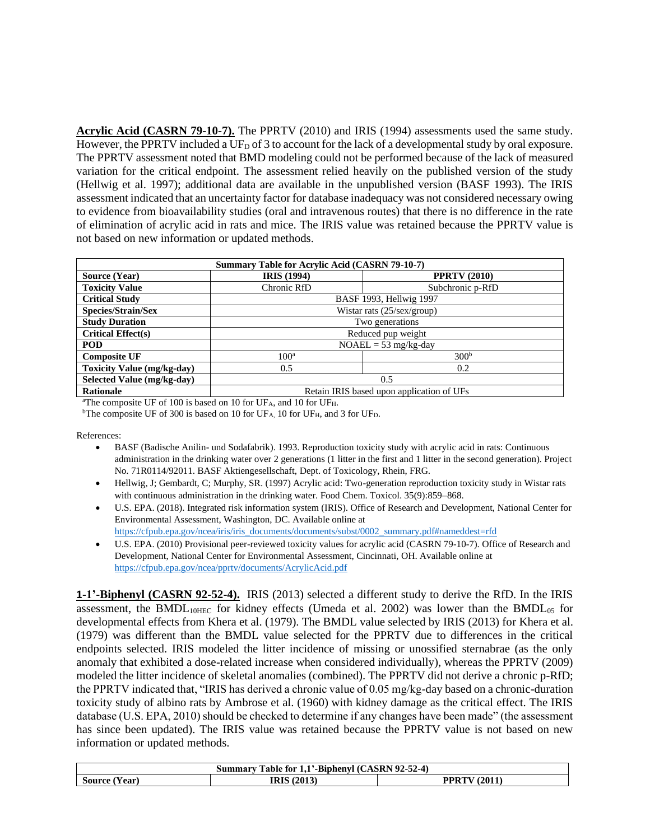**Acrylic Acid (CASRN 79-10-7).** The PPRTV (2010) and IRIS (1994) assessments used the same study. However, the PPRTV included a UF<sub>D</sub> of 3 to account for the lack of a developmental study by oral exposure. The PPRTV assessment noted that BMD modeling could not be performed because of the lack of measured variation for the critical endpoint. The assessment relied heavily on the published version of the study (Hellwig et al. 1997); additional data are available in the unpublished version (BASF 1993). The IRIS assessment indicated that an uncertainty factor for database inadequacy was not considered necessary owing to evidence from bioavailability studies (oral and intravenous routes) that there is no difference in the rate of elimination of acrylic acid in rats and mice. The IRIS value was retained because the PPRTV value is not based on new information or updated methods.

| <b>Summary Table for Acrylic Acid (CASRN 79-10-7)</b> |                                           |                         |  |
|-------------------------------------------------------|-------------------------------------------|-------------------------|--|
| Source (Year)                                         | <b>IRIS (1994)</b>                        | <b>PPRTV (2010)</b>     |  |
| <b>Toxicity Value</b>                                 | Chronic RfD                               | Subchronic p-RfD        |  |
| <b>Critical Study</b>                                 |                                           | BASF 1993, Hellwig 1997 |  |
| Species/Strain/Sex                                    | Wistar rats (25/sex/group)                |                         |  |
| <b>Study Duration</b>                                 | Two generations                           |                         |  |
| <b>Critical Effect(s)</b>                             | Reduced pup weight                        |                         |  |
| <b>POD</b>                                            | $NOAEL = 53$ mg/kg-day                    |                         |  |
| <b>Composite UF</b>                                   | 100 <sup>a</sup>                          | 300 <sup>b</sup>        |  |
| <b>Toxicity Value (mg/kg-day)</b>                     | 0.5                                       | 0.2                     |  |
| Selected Value (mg/kg-day)                            | 0.5                                       |                         |  |
| <b>Rationale</b>                                      | Retain IRIS based upon application of UFs |                         |  |

<sup>a</sup>The composite UF of 100 is based on 10 for UF<sub>A</sub>, and 10 for UF<sub>H</sub>.

<sup>b</sup>The composite UF of 300 is based on 10 for UF<sub>A</sub>, 10 for UF<sub>H</sub>, and 3 for UF<sub>D</sub>.

References:

- BASF (Badische Anilin- und Sodafabrik). 1993. Reproduction toxicity study with acrylic acid in rats: Continuous administration in the drinking water over 2 generations (1 litter in the first and 1 litter in the second generation). Project No. 71R0114/92011. BASF Aktiengesellschaft, Dept. of Toxicology, Rhein, FRG.
- Hellwig, J; Gembardt, C; Murphy, SR. (1997) Acrylic acid: Two-generation reproduction toxicity study in Wistar rats with continuous administration in the drinking water. Food Chem. Toxicol. 35(9):859–868.
- U.S. EPA. (2018). Integrated risk information system (IRIS). Office of Research and Development, National Center for Environmental Assessment, Washington, DC. Available online at [https://cfpub.epa.gov/ncea/iris/iris\\_documents/documents/subst/0002\\_summary.pdf#nameddest=rfd](https://cfpub.epa.gov/ncea/iris/iris_documents/documents/subst/0002_summary.pdf#nameddest=rfd)
- U.S. EPA. (2010) Provisional peer-reviewed toxicity values for acrylic acid (CASRN 79-10-7). Office of Research and Development, National Center for Environmental Assessment, Cincinnati, OH. Available online at <https://cfpub.epa.gov/ncea/pprtv/documents/AcrylicAcid.pdf>

**1-1'-Biphenyl (CASRN 92-52-4).** IRIS (2013) selected a different study to derive the RfD. In the IRIS assessment, the BMDL<sub>10HEC</sub> for kidney effects (Umeda et al. 2002) was lower than the BMDL<sub>05</sub> for developmental effects from Khera et al. (1979). The BMDL value selected by IRIS (2013) for Khera et al. (1979) was different than the BMDL value selected for the PPRTV due to differences in the critical endpoints selected. IRIS modeled the litter incidence of missing or unossified sternabrae (as the only anomaly that exhibited a dose-related increase when considered individually), whereas the PPRTV (2009) modeled the litter incidence of skeletal anomalies (combined). The PPRTV did not derive a chronic p-RfD; the PPRTV indicated that, "IRIS has derived a chronic value of 0.05 mg/kg-day based on a chronic-duration toxicity study of albino rats by Ambrose et al. (1960) with kidney damage as the critical effect. The IRIS database (U.S. EPA, 2010) should be checked to determine if any changes have been made" (the assessment has since been updated). The IRIS value was retained because the PPRTV value is not based on new information or updated methods.

| Table for 1.1'-Biphenyl (CASRN 92-52-4)<br>Summary 1 |  |  |  |
|------------------------------------------------------|--|--|--|
| (2011<br>(2013)<br>IRIS (<br>DDI<br>′ear.<br>Source  |  |  |  |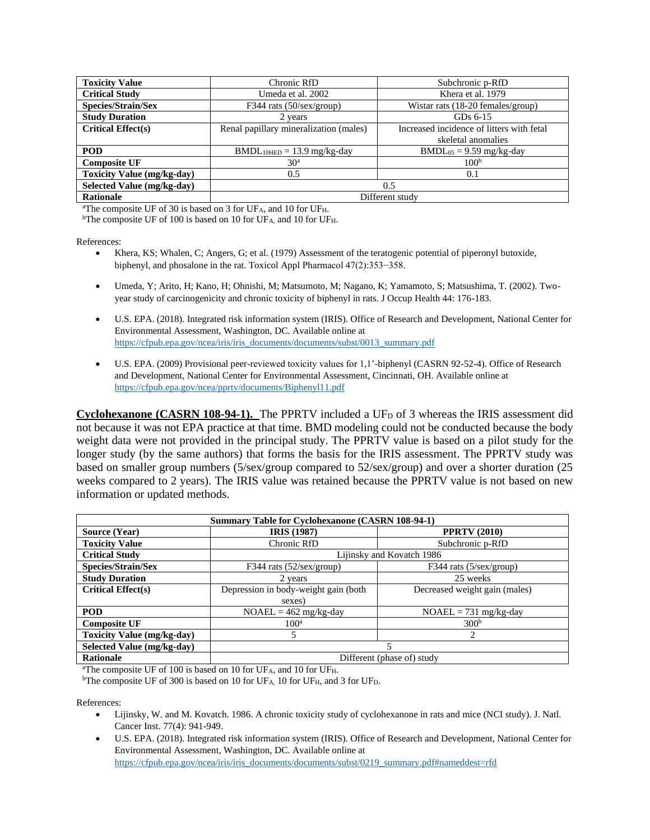| <b>Toxicity Value</b>             | Chronic RfD                            | Subchronic p-RfD                          |
|-----------------------------------|----------------------------------------|-------------------------------------------|
| <b>Critical Study</b>             | Umeda et al. 2002                      | Khera et al. 1979                         |
| Species/Strain/Sex                | F344 rats $(50/\text{sex/group})$      | Wistar rats (18-20 females/group)         |
| <b>Study Duration</b>             | 2 years                                | GDs $6-15$                                |
| <b>Critical Effect(s)</b>         | Renal papillary mineralization (males) | Increased incidence of litters with fetal |
|                                   |                                        | skeletal anomalies                        |
| <b>POD</b>                        | $BMDL10HED = 13.9 mg/kg-day$           | $BMDL_{05} = 9.59$ mg/kg-day              |
| <b>Composite UF</b>               | 30 <sup>a</sup>                        | 100 <sup>b</sup>                          |
| <b>Toxicity Value (mg/kg-day)</b> | 0.5                                    | 0.1                                       |
| Selected Value (mg/kg-day)        | 0.5                                    |                                           |
| <b>Rationale</b>                  | Different study                        |                                           |

<sup>a</sup>The composite UF of 30 is based on 3 for UFA, and 10 for UFH.

<sup>b</sup>The composite UF of 100 is based on 10 for UF<sub>A</sub>, and 10 for UF<sub>H</sub>.

References:

- Khera, KS; Whalen, C; Angers, G; et al. (1979) Assessment of the teratogenic potential of piperonyl butoxide, biphenyl, and phosalone in the rat. Toxicol Appl Pharmacol 47(2):353−358.
- Umeda, Y; Arito, H; Kano, H; Ohnishi, M; Matsumoto, M; Nagano, K; Yamamoto, S; Matsushima, T. (2002). Twoyear study of carcinogenicity and chronic toxicity of biphenyl in rats. J Occup Health 44: 176-183.
- U.S. EPA. (2018). Integrated risk information system (IRIS). Office of Research and Development, National Center for Environmental Assessment, Washington, DC. Available online at [https://cfpub.epa.gov/ncea/iris/iris\\_documents/documents/subst/0013\\_summary.pdf](https://cfpub.epa.gov/ncea/iris/iris_documents/documents/subst/0013_summary.pdf)
- U.S. EPA. (2009) Provisional peer-reviewed toxicity values for 1,1'-biphenyl (CASRN 92-52-4). Office of Research and Development, National Center for Environmental Assessment, Cincinnati, OH. Available online at <https://cfpub.epa.gov/ncea/pprtv/documents/Biphenyl11.pdf>

**Cyclohexanone (CASRN 108-94-1).** The PPRTV included a UF<sub>D</sub> of 3 whereas the IRIS assessment did not because it was not EPA practice at that time. BMD modeling could not be conducted because the body weight data were not provided in the principal study. The PPRTV value is based on a pilot study for the longer study (by the same authors) that forms the basis for the IRIS assessment. The PPRTV study was based on smaller group numbers (5/sex/group compared to 52/sex/group) and over a shorter duration (25 weeks compared to 2 years). The IRIS value was retained because the PPRTV value is not based on new information or updated methods.

| <b>Summary Table for Cyclohexanone (CASRN 108-94-1)</b> |                                      |                               |  |
|---------------------------------------------------------|--------------------------------------|-------------------------------|--|
| Source (Year)                                           | <b>IRIS</b> (1987)                   | <b>PPRTV (2010)</b>           |  |
| <b>Toxicity Value</b>                                   | Chronic RfD                          | Subchronic p-RfD              |  |
| <b>Critical Study</b>                                   | Lijinsky and Kovatch 1986            |                               |  |
| Species/Strain/Sex                                      | F344 rats $(52/\text{sex/group})$    | $F344$ rats (5/sex/group)     |  |
| <b>Study Duration</b>                                   | 2 years                              | 25 weeks                      |  |
| <b>Critical Effect(s)</b>                               | Depression in body-weight gain (both | Decreased weight gain (males) |  |
|                                                         | sexes)                               |                               |  |
| <b>POD</b>                                              | $NOAEL = 462$ mg/kg-day              | $NOAEL = 731$ mg/kg-day       |  |
| <b>Composite UF</b>                                     | 100 <sup>a</sup>                     | 300 <sup>b</sup>              |  |
| <b>Toxicity Value (mg/kg-day)</b>                       |                                      | 2                             |  |
| Selected Value (mg/kg-day)                              | 5                                    |                               |  |
| <b>Rationale</b>                                        | Different (phase of) study           |                               |  |

<sup>a</sup>The composite UF of 100 is based on 10 for UFA, and 10 for UFH.

<sup>b</sup>The composite UF of 300 is based on 10 for UF<sub>A</sub>, 10 for UF<sub>H</sub>, and 3 for UF<sub>D</sub>.

- Lijinsky, W. and M. Kovatch. 1986. A chronic toxicity study of cyclohexanone in rats and mice (NCI study). J. Natl. Cancer Inst. 77(4): 941-949.
- U.S. EPA. (2018). Integrated risk information system (IRIS). Office of Research and Development, National Center for Environmental Assessment, Washington, DC. Available online at [https://cfpub.epa.gov/ncea/iris/iris\\_documents/documents/subst/0219\\_summary.pdf#nameddest=rfd](https://cfpub.epa.gov/ncea/iris/iris_documents/documents/subst/0219_summary.pdf#nameddest=rfd)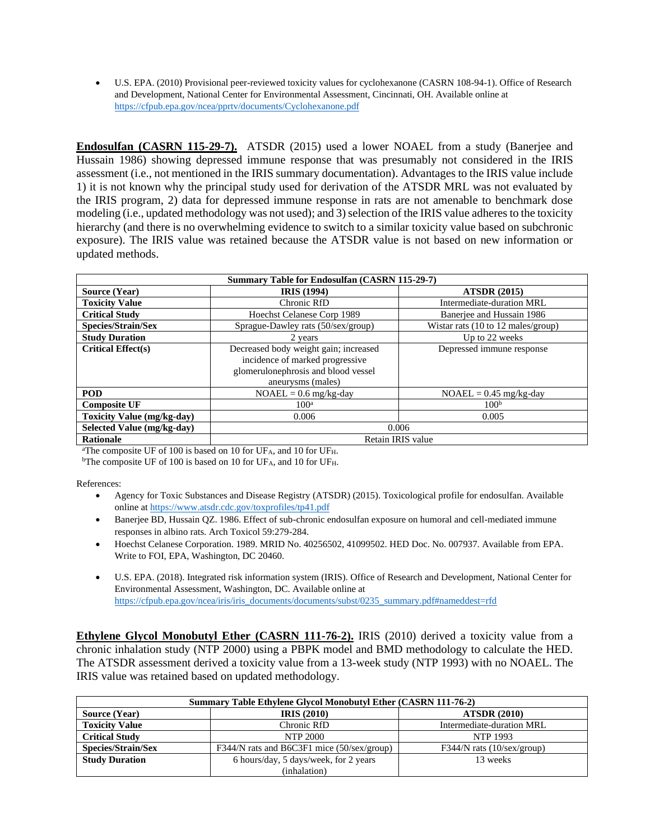• U.S. EPA. (2010) Provisional peer-reviewed toxicity values for cyclohexanone (CASRN 108-94-1). Office of Research and Development, National Center for Environmental Assessment, Cincinnati, OH. Available online at <https://cfpub.epa.gov/ncea/pprtv/documents/Cyclohexanone.pdf>

**Endosulfan (CASRN 115-29-7).** ATSDR (2015) used a lower NOAEL from a study (Banerjee and Hussain 1986) showing depressed immune response that was presumably not considered in the IRIS assessment (i.e., not mentioned in the IRIS summary documentation). Advantages to the IRIS value include 1) it is not known why the principal study used for derivation of the ATSDR MRL was not evaluated by the IRIS program, 2) data for depressed immune response in rats are not amenable to benchmark dose modeling (i.e., updated methodology was not used); and 3) selection of the IRIS value adheres to the toxicity hierarchy (and there is no overwhelming evidence to switch to a similar toxicity value based on subchronic exposure). The IRIS value was retained because the ATSDR value is not based on new information or updated methods.

| <b>Summary Table for Endosulfan (CASRN 115-29-7)</b> |                                                                                                                                      |                                                       |
|------------------------------------------------------|--------------------------------------------------------------------------------------------------------------------------------------|-------------------------------------------------------|
| Source (Year)                                        | <b>IRIS</b> (1994)                                                                                                                   | <b>ATSDR (2015)</b>                                   |
| <b>Toxicity Value</b>                                | Chronic RfD                                                                                                                          | Intermediate-duration MRL                             |
| <b>Critical Study</b>                                | Hoechst Celanese Corp 1989                                                                                                           | Baneriee and Hussain 1986                             |
| Species/Strain/Sex                                   | Sprague-Dawley rats (50/sex/group)                                                                                                   | Wistar rats $(10 \text{ to } 12 \text{ males/group})$ |
| <b>Study Duration</b>                                | 2 years                                                                                                                              | Up to 22 weeks                                        |
| <b>Critical Effect(s)</b>                            | Decreased body weight gain; increased<br>incidence of marked progressive<br>glomerulonephrosis and blood vessel<br>aneurysms (males) | Depressed immune response                             |
| <b>POD</b>                                           | $NOAEL = 0.6$ mg/kg-day                                                                                                              | $NOAEL = 0.45$ mg/kg-day                              |
| <b>Composite UF</b>                                  | 100 <sup>a</sup>                                                                                                                     | 100 <sup>b</sup>                                      |
| <b>Toxicity Value (mg/kg-day)</b>                    | 0.006                                                                                                                                | 0.005                                                 |
| Selected Value (mg/kg-day)                           | 0.006                                                                                                                                |                                                       |
| <b>Rationale</b>                                     | Retain IRIS value                                                                                                                    |                                                       |

<sup>a</sup>The composite UF of 100 is based on 10 for UFA, and 10 for UFH.

<sup>b</sup>The composite UF of 100 is based on 10 for UF<sub>A</sub>, and 10 for UF<sub>H</sub>.

References:

- Agency for Toxic Substances and Disease Registry (ATSDR) (2015). Toxicological profile for endosulfan. Available online a[t https://www.atsdr.cdc.gov/toxprofiles/tp41.pdf](https://www.atsdr.cdc.gov/toxprofiles/tp41.pdf)
- Banerjee BD, Hussain QZ. 1986. Effect of sub-chronic endosulfan exposure on humoral and cell-mediated immune responses in albino rats. Arch Toxicol 59:279-284.
- Hoechst Celanese Corporation. 1989. MRID No. 40256502, 41099502. HED Doc. No. 007937. Available from EPA. Write to FOI, EPA, Washington, DC 20460.
- U.S. EPA. (2018). Integrated risk information system (IRIS). Office of Research and Development, National Center for Environmental Assessment, Washington, DC. Available online at [https://cfpub.epa.gov/ncea/iris/iris\\_documents/documents/subst/0235\\_summary.pdf#nameddest=rfd](https://cfpub.epa.gov/ncea/iris/iris_documents/documents/subst/0235_summary.pdf#nameddest=rfd)

**Ethylene Glycol Monobutyl Ether (CASRN 111-76-2).** IRIS (2010) derived a toxicity value from a chronic inhalation study (NTP 2000) using a PBPK model and BMD methodology to calculate the HED. The ATSDR assessment derived a toxicity value from a 13-week study (NTP 1993) with no NOAEL. The IRIS value was retained based on updated methodology.

| Summary Table Ethylene Glycol Monobutyl Ether (CASRN 111-76-2) |                                            |                              |  |
|----------------------------------------------------------------|--------------------------------------------|------------------------------|--|
| Source (Year)                                                  | <b>IRIS</b> (2010)                         | <b>ATSDR (2010)</b>          |  |
| <b>Toxicity Value</b>                                          | Chronic RfD                                | Intermediate-duration MRL    |  |
| <b>Critical Study</b>                                          | <b>NTP 2000</b>                            | NTP 1993                     |  |
| <b>Species/Strain/Sex</b>                                      | F344/N rats and B6C3F1 mice (50/sex/group) | $F344/N$ rats (10/sex/group) |  |
| <b>Study Duration</b>                                          | 6 hours/day, 5 days/week, for 2 years      | 13 weeks                     |  |
|                                                                | (inhalation)                               |                              |  |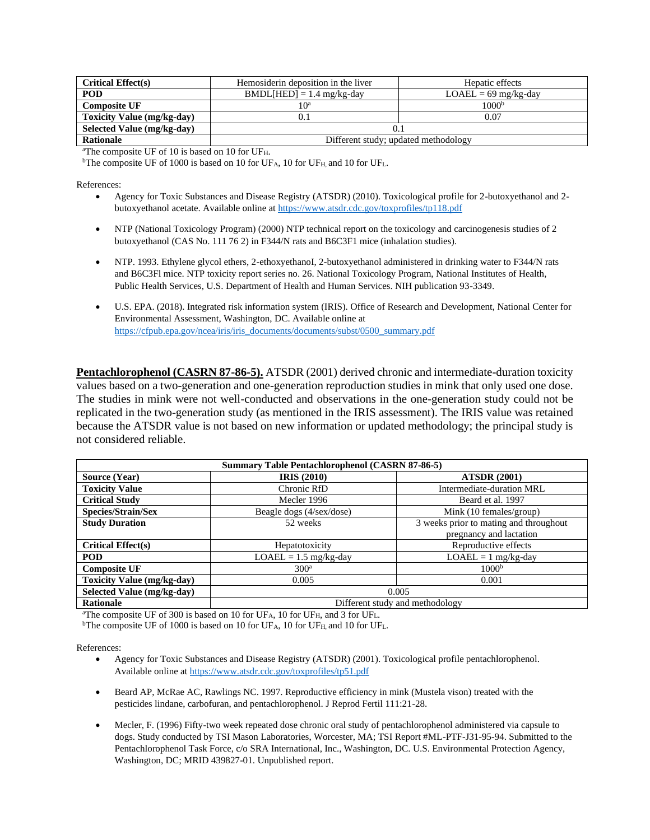| <b>Critical Effect(s)</b>         | Hemosiderin deposition in the liver  | Hepatic effects        |
|-----------------------------------|--------------------------------------|------------------------|
| <b>POD</b>                        | $BMDL[HED] = 1.4$ mg/kg-day          | $LOAEL = 69$ mg/kg-day |
| <b>Composite UF</b>               | 1 O <sup>a</sup>                     | 1000 <sup>b</sup>      |
| <b>Toxicity Value (mg/kg-day)</b> |                                      | 0.07                   |
| Selected Value (mg/kg-day)        |                                      |                        |
| Rationale                         | Different study; updated methodology |                        |

<sup>a</sup>The composite UF of 10 is based on 10 for UFH.

bThe composite UF of 1000 is based on 10 for UF<sub>A</sub>, 10 for UF<sub>H</sub>, and 10 for UF<sub>L</sub>.

References:

- Agency for Toxic Substances and Disease Registry (ATSDR) (2010). Toxicological profile for 2-butoxyethanol and 2 butoxyethanol acetate. Available online at<https://www.atsdr.cdc.gov/toxprofiles/tp118.pdf>
- NTP (National Toxicology Program) (2000) NTP technical report on the toxicology and carcinogenesis studies of 2 butoxyethanol (CAS No. 111 76 2) in F344/N rats and B6C3F1 mice (inhalation studies).
- NTP. 1993. Ethylene glycol ethers, 2-ethoxyethanoI, 2-butoxyethanol administered in drinking water to F344/N rats and B6C3Fl mice. NTP toxicity report series no. 26. National Toxicology Program, National Institutes of Health, Public Health Services, U.S. Department of Health and Human Services. NIH publication 93-3349.
- U.S. EPA. (2018). Integrated risk information system (IRIS). Office of Research and Development, National Center for Environmental Assessment, Washington, DC. Available online at [https://cfpub.epa.gov/ncea/iris/iris\\_documents/documents/subst/0500\\_summary.pdf](https://cfpub.epa.gov/ncea/iris/iris_documents/documents/subst/0500_summary.pdf)

**Pentachlorophenol (CASRN 87-86-5).** ATSDR (2001) derived chronic and intermediate-duration toxicity values based on a two-generation and one-generation reproduction studies in mink that only used one dose. The studies in mink were not well-conducted and observations in the one-generation study could not be replicated in the two-generation study (as mentioned in the IRIS assessment). The IRIS value was retained because the ATSDR value is not based on new information or updated methodology; the principal study is not considered reliable.

| <b>Summary Table Pentachlorophenol (CASRN 87-86-5)</b> |                                 |                                        |
|--------------------------------------------------------|---------------------------------|----------------------------------------|
| <b>Source (Year)</b>                                   | <b>IRIS</b> (2010)              | <b>ATSDR (2001)</b>                    |
| <b>Toxicity Value</b>                                  | Chronic RfD                     | Intermediate-duration MRL              |
| <b>Critical Study</b>                                  | Mecler 1996                     | Beard et al. 1997                      |
| Species/Strain/Sex                                     | Beagle dogs (4/sex/dose)        | Mink (10 females/group)                |
| <b>Study Duration</b>                                  | 52 weeks                        | 3 weeks prior to mating and throughout |
|                                                        |                                 | pregnancy and lactation                |
| <b>Critical Effect(s)</b>                              | Hepatotoxicity                  | Reproductive effects                   |
| <b>POD</b>                                             | $LOAEL = 1.5$ mg/kg-day         | $LOAEL = 1$ mg/kg-day                  |
| <b>Composite UF</b>                                    | 300 <sup>a</sup>                | 1000 <sup>b</sup>                      |
| <b>Toxicity Value (mg/kg-day)</b>                      | 0.005                           | 0.001                                  |
| Selected Value (mg/kg-day)                             | 0.005                           |                                        |
| Rationale                                              | Different study and methodology |                                        |

<sup>a</sup>The composite UF of 300 is based on 10 for UF<sub>A</sub>, 10 for UF<sub>H</sub>, and 3 for UF<sub>L</sub>.

bThe composite UF of 1000 is based on 10 for UF<sub>A</sub>, 10 for UF<sub>H</sub>, and 10 for UF<sub>L</sub>.

- Agency for Toxic Substances and Disease Registry (ATSDR) (2001). Toxicological profile pentachlorophenol. Available online a[t https://www.atsdr.cdc.gov/toxprofiles/tp51.pdf](https://www.atsdr.cdc.gov/toxprofiles/tp51.pdf)
- Beard AP, McRae AC, Rawlings NC. 1997. Reproductive efficiency in mink (Mustela vison) treated with the pesticides lindane, carbofuran, and pentachlorophenol. J Reprod Fertil 111:21-28.
- Mecler, F. (1996) Fifty-two week repeated dose chronic oral study of pentachlorophenol administered via capsule to dogs. Study conducted by TSI Mason Laboratories, Worcester, MA; TSI Report #ML-PTF-J31-95-94. Submitted to the Pentachlorophenol Task Force, c/o SRA International, Inc., Washington, DC. U.S. Environmental Protection Agency, Washington, DC; MRID 439827-01. Unpublished report.